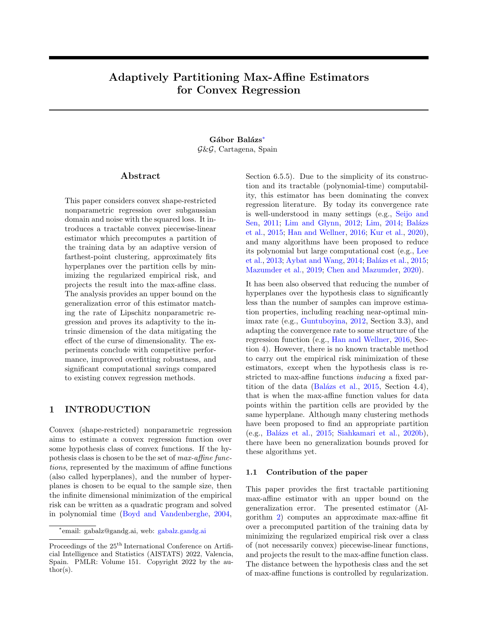# Adaptively Partitioning Max-Affine Estimators for Convex Regression

## Gábor Balázs<sup>\*</sup> G&G, Cartagena, Spain

## Abstract

This paper considers convex shape-restricted nonparametric regression over subgaussian domain and noise with the squared loss. It introduces a tractable convex piecewise-linear estimator which precomputes a partition of the training data by an adaptive version of farthest-point clustering, approximately fits hyperplanes over the partition cells by minimizing the regularized empirical risk, and projects the result into the max-affine class. The analysis provides an upper bound on the generalization error of this estimator matching the rate of Lipschitz nonparametric regression and proves its adaptivity to the intrinsic dimension of the data mitigating the effect of the curse of dimensionality. The experiments conclude with competitive performance, improved overfitting robustness, and significant computational savings compared to existing convex regression methods.

## 1 INTRODUCTION

Convex (shape-restricted) nonparametric regression aims to estimate a convex regression function over some hypothesis class of convex functions. If the hypothesis class is chosen to be the set of max-affine functions, represented by the maximum of affine functions (also called hyperplanes), and the number of hyperplanes is chosen to be equal to the sample size, then the infinite dimensional minimization of the empirical risk can be written as a quadratic program and solved in polynomial time [\(Boyd and Vandenberghe,](#page-8-0) [2004,](#page-8-0) Section 6.5.5). Due to the simplicity of its construction and its tractable (polynomial-time) computability, this estimator has been dominating the convex regression literature. By today its convergence rate is well-understood in many settings (e.g., [Seijo and](#page-9-0) [Sen,](#page-9-0) [2011;](#page-9-0) [Lim and Glynn,](#page-9-1) [2012;](#page-9-1) [Lim,](#page-9-2) [2014;](#page-9-2) Balázs [et al.,](#page-8-1) [2015;](#page-8-1) [Han and Wellner,](#page-9-3) [2016;](#page-9-3) [Kur et al.,](#page-9-4) [2020\)](#page-9-4), and many algorithms have been proposed to reduce its polynomial but large computational cost (e.g., [Lee](#page-9-5) [et al.,](#page-9-5) [2013;](#page-9-5) [Aybat and Wang,](#page-8-2) [2014;](#page-8-2) Balázs et al., [2015;](#page-8-1) [Mazumder et al.,](#page-9-6) [2019;](#page-9-6) [Chen and Mazumder,](#page-8-3) [2020\)](#page-8-3).

It has been also observed that reducing the number of hyperplanes over the hypothesis class to significantly less than the number of samples can improve estimation properties, including reaching near-optimal minimax rate (e.g., [Guntuboyina,](#page-8-4) [2012,](#page-8-4) Section 3.3), and adapting the convergence rate to some structure of the regression function (e.g., [Han and Wellner,](#page-9-3) [2016,](#page-9-3) Section 4). However, there is no known tractable method to carry out the empirical risk minimization of these estimators, except when the hypothesis class is restricted to max-affine functions inducing a fixed par-tition of the data (Balázs et al., [2015,](#page-8-1) Section 4.4), that is when the max-affine function values for data points within the partition cells are provided by the same hyperplane. Although many clustering methods have been proposed to find an appropriate partition (e.g., Balázs et al., [2015;](#page-8-1) [Siahkamari et al.,](#page-9-7) [2020b\)](#page-9-7), there have been no generalization bounds proved for these algorithms yet.

### 1.1 Contribution of the paper

This paper provides the first tractable partitioning max-affine estimator with an upper bound on the generalization error. The presented estimator (Algorithm [2\)](#page-3-0) computes an approximate max-affine fit over a precomputed partition of the training data by minimizing the regularized empirical risk over a class of (not necessarily convex) piecewise-linear functions, and projects the result to the max-affine function class. The distance between the hypothesis class and the set of max-affine functions is controlled by regularization.

<span id="page-0-0"></span><sup>∗</sup> email: gabalz@gandg.ai, web: [gabalz.gandg.ai](https://gabalz.gandg.ai)

Proceedings of the  $25<sup>th</sup>$  International Conference on Artificial Intelligence and Statistics (AISTATS) 2022, Valencia, Spain. PMLR: Volume 151. Copyright 2022 by the au- $\text{thor}(s)$ .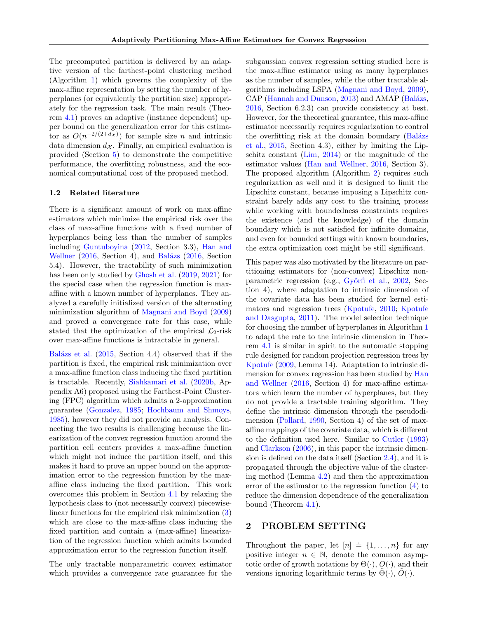The precomputed partition is delivered by an adaptive version of the farthest-point clustering method (Algorithm [1\)](#page-3-1) which governs the complexity of the max-affine representation by setting the number of hyperplanes (or equivalently the partition size) appropriately for the regression task. The main result (Theorem [4.1\)](#page-3-2) proves an adaptive (instance dependent) upper bound on the generalization error for this estimator as  $O(n^{-2/(2+d_{\mathcal{X}})})$  for sample size *n* and intrinsic data dimension  $d_{\mathcal{X}}$ . Finally, an empirical evaluation is provided (Section [5\)](#page-6-0) to demonstrate the competitive performance, the overfitting robustness, and the economical computational cost of the proposed method.

## 1.2 Related literature

There is a significant amount of work on max-affine estimators which minimize the empirical risk over the class of max-affine functions with a fixed number of hyperplanes being less than the number of samples including [Guntuboyina](#page-8-4) [\(2012,](#page-8-4) Section 3.3), [Han and](#page-9-3) [Wellner](#page-9-3) [\(2016,](#page-8-5) Section 4), and Balázs (2016, Section 5.4). However, the tractability of such minimization has been only studied by [Ghosh et al.](#page-8-6) [\(2019,](#page-8-6) [2021\)](#page-8-7) for the special case when the regression function is maxaffine with a known number of hyperplanes. They analyzed a carefully initialized version of the alternating minimization algorithm of [Magnani and Boyd](#page-9-8) [\(2009\)](#page-9-8) and proved a convergence rate for this case, while stated that the optimization of the empirical  $\mathcal{L}_2$ -risk over max-affine functions is intractable in general.

Balázs et al.  $(2015, Section 4.4)$  $(2015, Section 4.4)$  observed that if the partition is fixed, the empirical risk minimization over a max-affine function class inducing the fixed partition is tractable. Recently, [Siahkamari et al.](#page-9-7) [\(2020b,](#page-9-7) Appendix A6) proposed using the Farthest-Point Clustering (FPC) algorithm which admits a 2-approximation guarantee [\(Gonzalez,](#page-8-8) [1985;](#page-8-8) [Hochbaum and Shmoys,](#page-9-9) [1985\)](#page-9-9), however they did not provide an analysis. Connecting the two results is challenging because the linearization of the convex regression function around the partition cell centers provides a max-affine function which might not induce the partition itself, and this makes it hard to prove an upper bound on the approximation error to the regression function by the maxaffine class inducing the fixed partition. This work overcomes this problem in Section [4.1](#page-4-0) by relaxing the hypothesis class to (not necessarily convex) piecewiselinear functions for the empirical risk minimization [\(3\)](#page-3-3) which are close to the max-affine class inducing the fixed partition and contain a (max-affine) linearization of the regression function which admits bounded approximation error to the regression function itself.

The only tractable nonparametric convex estimator which provides a convergence rate guarantee for the subgaussian convex regression setting studied here is the max-affine estimator using as many hyperplanes as the number of samples, while the other tractable algorithms including LSPA [\(Magnani and Boyd,](#page-9-8) [2009\)](#page-9-8), CAP [\(Hannah and Dunson,](#page-9-10) [2013\)](#page-9-10) and AMAP (Balázs, [2016,](#page-8-5) Section 6.2.3) can provide consistency at best. However, for the theoretical guarantee, this max-affine estimator necessarily requires regularization to control the overfitting risk at the domain boundary (Balázs [et al.,](#page-8-1) [2015,](#page-8-1) Section 4.3), either by limiting the Lipschitz constant [\(Lim,](#page-9-2) [2014\)](#page-9-2) or the magnitude of the estimator values [\(Han and Wellner,](#page-9-3) [2016,](#page-9-3) Section 3). The proposed algorithm (Algorithm [2\)](#page-3-0) requires such regularization as well and it is designed to limit the Lipschitz constant, because imposing a Lipschitz constraint barely adds any cost to the training process while working with boundedness constraints requires the existence (and the knowledge) of the domain boundary which is not satisfied for infinite domains, and even for bounded settings with known boundaries, the extra optimization cost might be still significant.

This paper was also motivated by the literature on partitioning estimators for (non-convex) Lipschitz non-parametric regression (e.g., Györfi et al., [2002,](#page-9-11) Section 4), where adaptation to intrinsic dimension of the covariate data has been studied for kernel estimators and regression trees [\(Kpotufe,](#page-9-12) [2010;](#page-9-12) [Kpotufe](#page-9-13) [and Dasgupta,](#page-9-13) [2011\)](#page-9-13). The model selection technique for choosing the number of hyperplanes in Algorithm [1](#page-3-1) to adapt the rate to the intrinsic dimension in Theorem [4.1](#page-3-2) is similar in spirit to the automatic stopping rule designed for random projection regression trees by [Kpotufe](#page-9-14) [\(2009,](#page-9-14) Lemma 14). Adaptation to intrinsic dimension for convex regression has been studied by [Han](#page-9-3) [and Wellner](#page-9-3) [\(2016,](#page-9-3) Section 4) for max-affine estimators which learn the number of hyperplanes, but they do not provide a tractable training algorithm. They define the intrinsic dimension through the pseudodimension [\(Pollard,](#page-9-15) [1990,](#page-9-15) Section 4) of the set of maxaffine mappings of the covariate data, which is different to the definition used here. Similar to [Cutler](#page-8-9) [\(1993\)](#page-8-9) and [Clarkson](#page-8-10) [\(2006\)](#page-8-10), in this paper the intrinsic dimension is defined on the data itself (Section [2.4\)](#page-2-0), and it is propagated through the objective value of the clustering method (Lemma [4.2\)](#page-5-0) and then the approximation error of the estimator to the regression function [\(4\)](#page-4-1) to reduce the dimension dependence of the generalization bound (Theorem [4.1\)](#page-3-2).

## 2 PROBLEM SETTING

Throughout the paper, let  $[n] \doteq \{1, \ldots, n\}$  for any positive integer  $n \in \mathbb{N}$ , denote the common asymptotic order of growth notations by  $\Theta(\cdot)$ ,  $O(\cdot)$ , and their versions ignoring logarithmic terms by  $\Theta(\cdot), O(\cdot)$ .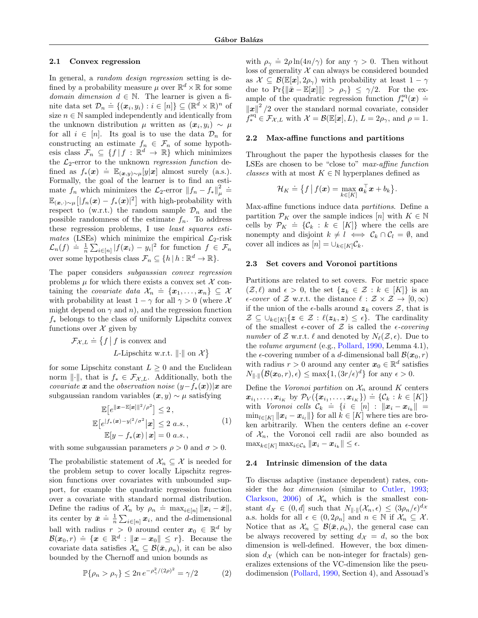#### 2.1 Convex regression

In general, a *random design regression* setting is defined by a probability measure  $\mu$  over  $\mathbb{R}^d \times \mathbb{R}$  for some domain dimension  $d \in \mathbb{N}$ . The learner is given a fiis maintenance and  $\mathcal{D}_n \doteq \{(\mathbf{x}_i, y_i) : i \in [n]\} \subseteq (\mathbb{R}^d \times \mathbb{R})^n$  of size  $n \in \mathbb{N}$  sampled independently and identically from the unknown distribution  $\mu$  written as  $(\boldsymbol{x}_i, y_i) \sim \mu$ for all  $i \in [n]$ . Its goal is to use the data  $\mathcal{D}_n$  for constructing an estimate  $f_n \in \mathcal{F}_n$  of some hypothesis class  $\mathcal{F}_n \subseteq \{f \mid f : \mathbb{R}^d \to \mathbb{R}\}\$  which minimizes the  $\mathcal{L}_2$ -error to the unknown *regression function* defined as  $f_*(\mathbf{x}) \doteq \mathbb{E}_{(\mathbf{x},y) \sim \mu}[y|\mathbf{x}]$  almost surely (a.s.). Formally, the goal of the learner is to find an estimate  $f_n$  which minimizes the  $\mathcal{L}_2$ -error  $||f_n - f_*||^2_{\mu}$  =  $\mathbb{E}_{(\bm{x},\cdot)\sim\mu}\big[|f_n(\bm{x})-f_*(\bm{x})|^2\big]$  with high-probability with respect to (w.r.t.) the random sample  $\mathcal{D}_n$  and the possible randomness of the estimate  $f_n$ . To address these regression problems, I use least squares estimates (LSEs) which minimize the empirical  $\mathcal{L}_2$ -risk  $\mathcal{L}_n(f) \doteq \frac{1}{n} \sum_{i \in [n]} |f(x_i) - y_i|^2$  for function  $f \in \mathcal{F}_n$ over some hypothesis class  $\mathcal{F}_n \subseteq \{h \mid h : \mathbb{R}^d \to \mathbb{R}\}.$ 

The paper considers subgaussian convex regression problems  $\mu$  for which there exists a convex set  $\mathcal X$  containing the *covariate data*  $\mathcal{X}_n \doteq \{\pmb{x}_1, \ldots, \pmb{x}_n\} \subseteq \mathcal{X}$ with probability at least  $1 - \gamma$  for all  $\gamma > 0$  (where X might depend on  $\gamma$  and n), and the regression function  $f_*$  belongs to the class of uniformly Lipschitz convex functions over  $\mathcal X$  given by

> $\mathcal{F}_{\mathcal{X},L} \doteq \{f \mid f \text{ is convex and }$ L-Lipschitz w.r.t.  $\lVert \cdot \rVert$  on  $\mathcal{X}\}$

for some Lipschitz constant  $L \geq 0$  and the Euclidean norm  $\lVert \cdot \rVert$ , that is  $f_* \in \mathcal{F}_{\mathcal{X},L}$ . Additionally, both the *covariate* x and the *observation noise*  $(y - f_*(x))|x$  are subgaussian random variables  $(x, y) \sim \mu$  satisfying

$$
\mathbb{E}\left[e^{\|\boldsymbol{x}-\mathbb{E}[\boldsymbol{x}]\|^2/\rho^2}\right] \leq 2,
$$
\n
$$
\mathbb{E}\left[e^{\int f_*(\boldsymbol{x})-y\|^2/\sigma^2}|\boldsymbol{x}\right] \leq 2 \ a.s.,
$$
\n
$$
\mathbb{E}[y-f_*(\boldsymbol{x})\,|\,\boldsymbol{x}] = 0 \ a.s.,
$$
\n(1)

<span id="page-2-2"></span>with some subgaussian parameters  $\rho > 0$  and  $\sigma > 0$ .

The probabilistic statement of  $\mathcal{X}_n \subseteq \mathcal{X}$  is needed for the problem setup to cover locally Lipschitz regression functions over covariates with unbounded support, for example the quadratic regression function over a covariate with standard normal distribution. Define the radius of  $\mathcal{X}_n$  by  $\rho_n \doteq \max_{i \in [n]} ||\mathbf{x}_i - \bar{\mathbf{x}}||$ , its center by  $\bar{x} = \frac{1}{n} \sum_{i \in [n]} x_i$ , and the *d*-dimensional ball with radius  $r > 0$  around center  $x_0 \in \mathbb{R}^d$  by  $\mathcal{B}(x_0,r) \doteq \{x \in \mathbb{R}^d : ||x - x_0|| \leq r\}.$  Because the covariate data satisfies  $\mathcal{X}_n \subseteq \mathcal{B}(\bar{x}, \rho_n)$ , it can be also bounded by the Chernoff and union bounds as

<span id="page-2-1"></span>
$$
\mathbb{P}\{\rho_n > \rho_\gamma\} \le 2n \, e^{-\rho_\gamma^2/(2\rho)^2} = \gamma/2 \tag{2}
$$

with  $\rho_{\gamma} \doteq 2\rho \ln(4n/\gamma)$  for any  $\gamma > 0$ . Then without loss of generality  $\mathcal X$  can always be considered bounded as  $\mathcal{X} \subseteq \mathcal{B}(\mathbb{E}[\boldsymbol{x}], 2\rho_{\gamma})$  with probability at least  $1 - \gamma$ due to  $Pr\{\|\bar{\mathbf{x}} - \mathbb{E}[\mathbf{x}]\| > \rho_{\gamma}\}\leq \gamma/2$ . For the example of the quadratic regression function  $f_*^{sq}(\boldsymbol{x}) \doteq$  $\left\Vert x\right\Vert ^{2}/2$  over the standard normal covariate, consider  $\ddot{J}_{*}^{\text{sq}} \in \mathcal{F}_{\mathcal{X},L}$  with  $\mathcal{X} = \mathcal{B}(\mathbb{E}[\boldsymbol{x}], L)$ ,  $L = 2\rho_{\gamma}$ , and  $\rho = 1$ .

### 2.2 Max-affine functions and partitions

Throughout the paper the hypothesis classes for the LSEs are chosen to be "close to" max-affine function *classes* with at most  $K \in \mathbb{N}$  hyperplanes defined as

$$
\mathcal{H}_K \doteq \big\{ f \, \big| \, f(\boldsymbol{x}) = \max_{k \in [K]} \boldsymbol{a}_k^\top \boldsymbol{x} + b_k \big\}.
$$

Max-affine functions induce data partitions. Define a partition  $\mathcal{P}_K$  over the sample indices  $[n]$  with  $K \in \mathbb{N}$ cells by  $\mathcal{P}_K \doteq \{\mathcal{C}_k : k \in [K]\}$  where the cells are nonempty and disjoint  $k \neq l \iff C_k \cap C_l = \emptyset$ , and cover all indices as  $[n] = \bigcup_{k \in [K]} C_k$ .

#### 2.3 Set covers and Voronoi partitions

Partitions are related to set covers. For metric space  $(\mathcal{Z}, \ell)$  and  $\epsilon > 0$ , the set  $\{z_k \in \mathcal{Z} : k \in [K]\}\$ is an  $\epsilon$ -cover of Z w.r.t. the distance  $\ell : \mathcal{Z} \times \mathcal{Z} \to [0, \infty)$ if the union of the  $\epsilon$ -balls around  $z_k$  covers  $\mathcal{Z}$ , that is  $\mathcal{Z} \subseteq \bigcup_{k \in [K]} \{z \in \mathcal{Z} : \ell(z_k, z) \leq \epsilon\}.$  The cardinality of the smallest  $\epsilon$ -cover of Z is called the  $\epsilon$ -covering number of  $\mathcal Z$  w.r.t.  $\ell$  and denoted by  $N_{\ell}(\mathcal Z, \epsilon)$ . Due to the volume argument (e.g., [Pollard,](#page-9-15) [1990,](#page-9-15) Lemma 4.1), the  $\epsilon$ -covering number of a d-dimensional ball  $\mathcal{B}(x_0, r)$ with radius  $r > 0$  around any center  $x_0 \in \mathbb{R}^d$  satisfies  $N_{\|\cdot\|}(\mathcal{B}(\boldsymbol{x}_0,r),\epsilon) \leq \max\{1,(3r/\epsilon)^d\}$  for any  $\epsilon > 0$ .

Define the Voronoi partition on  $\mathcal{X}_n$  around K centers  $x_{i_1}, \ldots, x_{i_K}$  by  $\mathcal{P}_V(\{\pmb{x}_{i_1}, \ldots, \pmb{x}_{i_K}\}) \doteq \{\mathcal{C}_k : k \in [K]\}$ with Voronoi cells  $C_k = \{i \in [n] : ||x_i - x_{i_k}|| =$  $\min_{l \in [K]} \|x_i - x_{i_l}\|\}$  for all  $k \in [K]$  where ties are broken arbitrarily. When the centers define an  $\epsilon$ -cover of  $\mathcal{X}_n$ , the Voronoi cell radii are also bounded as  $\max_{k \in [K]} \max_{i \in \mathcal{C}_k} ||x_i - x_{i_k}|| \leq \epsilon.$ 

#### <span id="page-2-0"></span>2.4 Intrinsic dimension of the data

To discuss adaptive (instance dependent) rates, consider the *box dimension* (similar to [Cutler,](#page-8-9) [1993;](#page-8-9) [Clarkson,](#page-8-10) [2006\)](#page-8-10) of  $\mathcal{X}_n$  which is the smallest constant  $d_{\mathcal{X}} \in (0, d]$  such that  $N_{\|\cdot\|}(\mathcal{X}_n, \epsilon) \leq (3\rho_n/\epsilon)^{d_{\mathcal{X}}}$ a.s. holds for all  $\epsilon \in (0, 2\rho_n]$  and  $n \in \mathbb{N}$  if  $\mathcal{X}_n \subseteq \mathcal{X}$ . Notice that as  $\mathcal{X}_n \subseteq \mathcal{B}(\bar{\boldsymbol{x}}, \rho_n)$ , the general case can be always recovered by setting  $d_{\mathcal{X}} = d$ , so the box dimension is well-defined. However, the box dimension  $d_{\mathcal{X}}$  (which can be non-integer for fractals) generalizes extensions of the VC-dimension like the pseudodimension [\(Pollard,](#page-9-15) [1990,](#page-9-15) Section 4), and Assouad's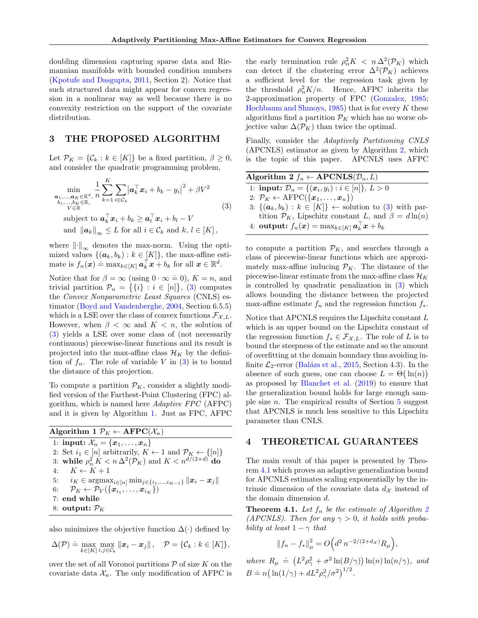doubling dimension capturing sparse data and Riemannian manifolds with bounded condition numbers [\(Kpotufe and Dasgupta,](#page-9-13) [2011,](#page-9-13) Section 2). Notice that such structured data might appear for convex regression in a nonlinear way as well because there is no convexity restriction on the support of the covariate distribution.

## 3 THE PROPOSED ALGORITHM

Let  $\mathcal{P}_K = \{ \mathcal{C}_k : k \in [K] \}$  be a fixed partition,  $\beta \geq 0$ , and consider the quadratic programming problem,

<span id="page-3-3"></span>
$$
\min_{\substack{\mathbf{a}_1,\dots,\mathbf{a}_K \in \mathbb{R}^d, \\ b_1,\dots,b_K \in \mathbb{R}, \\ V \in \mathbb{R}}} \frac{1}{n} \sum_{k=1}^K \sum_{i \in \mathcal{C}_k} \left| \mathbf{a}_k^\top \mathbf{x}_i + b_k - y_i \right|^2 + \beta V^2
$$
\n
$$
\text{subject to } \mathbf{a}_k^\top \mathbf{x}_i + b_k \ge \mathbf{a}_l^\top \mathbf{x}_i + b_l - V
$$
\n
$$
\text{and } \|\mathbf{a}_k\|_{\infty} \le L \text{ for all } i \in \mathcal{C}_k \text{ and } k, l \in [K],
$$
\n(3)

where  $\lVert \cdot \rVert_{\infty}$  denotes the max-norm. Using the optimized values  $\{(\boldsymbol{a}_k, b_k) : k \in [K]\},\$  the max-affine estimate is  $f_n(x) = \max_{k \in [K]} a_k^{\top} x + b_k$  for all  $x \in \mathbb{R}^d$ .

Notice that for  $\beta = \infty$  (using  $0 \cdot \infty = 0$ ),  $K = n$ , and trivial partition  $\mathcal{P}_n = \{\{i\} : i \in [n]\},\$  [\(3\)](#page-3-3) computes the Convex Nonparametric Least Squares (CNLS) estimator [\(Boyd and Vandenberghe,](#page-8-0) [2004,](#page-8-0) Section 6.5.5) which is a LSE over the class of convex functions  $\mathcal{F}_{\mathcal{X},L}$ . However, when  $\beta < \infty$  and  $K < n$ , the solution of [\(3\)](#page-3-3) yields a LSE over some class of (not necessarily continuous) piecewise-linear functions and its result is projected into the max-affine class  $\mathcal{H}_K$  by the definition of  $f_n$ . The role of variable V in  $(3)$  is to bound the distance of this projection.

To compute a partition  $\mathcal{P}_K$ , consider a slightly modified version of the Farthest-Point Clustering (FPC) algorithm, which is named here Adaptive FPC (AFPC) and it is given by Algorithm [1.](#page-3-1) Just as FPC, AFPC

| Algorithm 1 $\mathcal{P}_K \leftarrow \text{AFPC}(\mathcal{X}_n)$                                 |
|---------------------------------------------------------------------------------------------------|
| 1: input: $\mathcal{X}_n = \{x_1, , x_n\}$                                                        |
| 2: Set $i_1 \in [n]$ arbitrarily, $K \leftarrow 1$ and $\mathcal{P}_K \leftarrow \{[n]\}$         |
| 3: while $\rho_n^2 K < n \Delta^2(\mathcal{P}_K)$ and $K < n^{d/(2+d)}$ do                        |
| 4: $K \leftarrow K + 1$                                                                           |
| 5: $i_K \in \text{argmax}_{i \in [n]} \min_{j \in \{i_1, , i_{K-1}\}}   \bm{x}_i - \bm{x}_j  $    |
| 6: $\mathcal{P}_K \leftarrow \mathcal{P}_V(\{\boldsymbol{x}_{i_1},\ldots,\boldsymbol{x}_{i_K}\})$ |
| $7:$ end while                                                                                    |
| 8: output: $\mathcal{P}_K$                                                                        |

<span id="page-3-1"></span>also minimizes the objective function  $\Delta(\cdot)$  defined by

$$
\Delta(\mathcal{P}) \doteq \max_{k \in [K]} \max_{i,j \in \mathcal{C}_k} ||\boldsymbol{x}_i - \boldsymbol{x}_j||, \quad \mathcal{P} = \{ \mathcal{C}_k : k \in [K] \},
$$

over the set of all Voronoi partitions  $P$  of size K on the covariate data  $\mathcal{X}_n$ . The only modification of AFPC is

the early termination rule  $\rho_n^2 K < n \Delta^2(\mathcal{P}_K)$  which can detect if the clustering error  $\Delta^2(\mathcal{P}_K)$  achieves a sufficient level for the regression task given by the threshold  $\rho_n^2 K/n$ . Hence, AFPC inherits the 2-approximation property of FPC [\(Gonzalez,](#page-8-8) [1985;](#page-8-8) [Hochbaum and Shmoys,](#page-9-9)  $1985$ ) that is for every K these algorithms find a partition  $\mathcal{P}_K$  which has no worse objective value  $\Delta(\mathcal{P}_K)$  than twice the optimal.

Finally, consider the Adaptively Partitioning CNLS (APCNLS) estimator as given by Algorithm [2,](#page-3-0) which is the topic of this paper. APCNLS uses AFPC

| Algorithm 2 $f_n \leftarrow APCNLS(\mathcal{D}_n, L)$                                   |
|-----------------------------------------------------------------------------------------|
| 1: <b>input:</b> $\mathcal{D}_n = \{(\mathbf{x}_i, y_i) : i \in [n]\}, L > 0$           |
| 2: $\mathcal{P}_K \leftarrow \text{AFPC}(\{\boldsymbol{x}_1,\ldots,\boldsymbol{x}_n\})$ |
| 3: $\{(\boldsymbol{a}_k, b_k) : k \in [K]\}\leftarrow \text{solution to (3) with par-}$ |
| tition $\mathcal{P}_K$ , Lipschitz constant L, and $\beta = d \ln(n)$                   |
| 4: <b>output:</b> $f_n(x) = \max_{k \in [K]} a_k^{\dagger} x + b_k$                     |

<span id="page-3-0"></span>to compute a partition  $\mathcal{P}_K$ , and searches through a class of piecewise-linear functions which are approximately max-affine inducing  $\mathcal{P}_K$ . The distance of the piecewise-linear estimate from the max-affine class  $\mathcal{H}_K$ is controlled by quadratic penalization in [\(3\)](#page-3-3) which allows bounding the distance between the projected max-affine estimate  $f_n$  and the regression function  $f_*$ .

Notice that APCNLS requires the Lipschitz constant L which is an upper bound on the Lipschitz constant of the regression function  $f_* \in \mathcal{F}_{\mathcal{X},L}$ . The role of L is to bound the steepness of the estimate and so the amount of overfitting at the domain boundary thus avoiding infinite  $\mathcal{L}_2$ -error (Balázs et al., [2015,](#page-8-1) Section 4.3). In the absence of such guess, one can choose  $L = \Theta(\ln(n))$ as proposed by [Blanchet et al.](#page-8-11) [\(2019\)](#page-8-11) to ensure that the generalization bound holds for large enough sample size *n*. The empirical results of Section  $5$  suggest that APCNLS is much less sensitive to this Lipschitz parameter than CNLS.

## 4 THEORETICAL GUARANTEES

The main result of this paper is presented by Theorem [4.1](#page-3-2) which proves an adaptive generalization bound for APCNLS estimates scaling exponentially by the intrinsic dimension of the covariate data  $d_{\mathcal{X}}$  instead of the domain dimension d.

<span id="page-3-2"></span>**Theorem 4.1.** Let  $f_n$  be the estimate of Algorithm [2](#page-3-0) (APCNLS). Then for any  $\gamma > 0$ , it holds with probability at least  $1 - \gamma$  that

$$
||f_n - f_*||_{\mu}^2 = O\Big(d^2 n^{-2/(2+d_{\mathcal{X}})} R_{\mu}\Big),
$$

where  $R_{\mu} \doteq (L^2 \rho_{\gamma}^2 + \sigma^2 \ln(B/\gamma)) \ln(n) \ln(n/\gamma)$ , and  $B = n \left( \ln(1/\gamma) + dL^2 \rho_{\gamma}^2/\sigma^2 \right)^{1/2}.$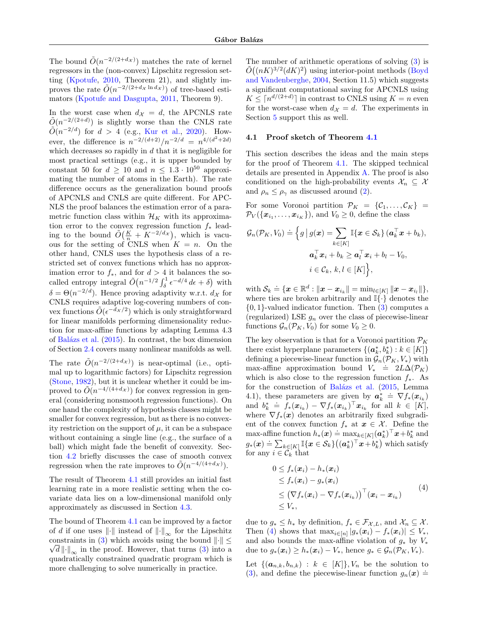The bound  $\tilde{O}(n^{-2/(2+d_{\mathcal{X}})})$  matches the rate of kernel regressors in the (non-convex) Lipschitz regression setting [\(Kpotufe,](#page-9-12) [2010,](#page-9-12) Theorem 21), and slightly improves the rate  $\tilde{O}(n^{-2/(2+d_X \ln d_X)})$  of tree-based estimators [\(Kpotufe and Dasgupta,](#page-9-13) [2011,](#page-9-13) Theorem 9).

In the worst case when  $d_{\mathcal{X}} = d$ , the APCNLS rate  $\tilde{O}(n^{-2/(2+d)})$  is slightly worse than the CNLS rate  $\tilde{O}(n^{-2/d})$  for  $d > 4$  (e.g., [Kur et al.,](#page-9-4) [2020\)](#page-9-4). However, the difference is  $n^{-2/(d+2)}/n^{-2/d} = n^{4/(d^2+2d)}$ which decreases so rapidly in  $d$  that it is negligible for most practical settings (e.g., it is upper bounded by constant 50 for  $d \ge 10$  and  $n \le 1.3 \cdot 10^{50}$  approximating the number of atoms in the Earth). The rate difference occurs as the generalization bound proofs of APCNLS and CNLS are quite different. For APC-NLS the proof balances the estimation error of a parametric function class within  $\mathcal{H}_K$  with its approximation error to the convex regression function  $f_*$  leading to the bound  $\tilde{O}\left(\frac{K}{n} + K^{-2/d_{\mathcal{X}}}\right)$ , which is vacuous for the setting of CNLS when  $K = n$ . On the other hand, CNLS uses the hypothesis class of a restricted set of convex functions which has no approximation error to  $f_*$ , and for  $d > 4$  it balances the socalled entropy integral  $\tilde{O}(n^{-1/2} \int_{\delta}^{1} \epsilon^{-d/4} d\epsilon + \delta)$  with  $\delta = \Theta(n^{-2/d})$ . Hence proving adaptivity w.r.t.  $d_{\mathcal{X}}$  for CNLS requires adaptive log-covering numbers of convex functions  $\tilde{O}(\epsilon^{-\tilde{d}_{\mathcal{X}}/2})$  which is only straightforward for linear manifolds performing dimensionality reduction for max-affine functions by adapting Lemma 4.3 of Balázs et al.  $(2015)$ . In contrast, the box dimension of Section [2.4](#page-2-0) covers many nonlinear manifolds as well.

The rate  $\tilde{O}(n^{-2/(2+d_{\mathcal{X}})})$  is near-optimal (i.e., optimal up to logarithmic factors) for Lipschitz regression [\(Stone,](#page-9-16) [1982\)](#page-9-16), but it is unclear whether it could be improved to  $\tilde{O}(n^{-4/(4+d_{\mathcal{X}})})$  for convex regression in general (considering nonsmooth regression functions). On one hand the complexity of hypothesis classes might be smaller for convex regression, but as there is no convexity restriction on the support of  $\mu$ , it can be a subspace without containing a single line (e.g., the surface of a ball) which might fade the benefit of convexity. Section [4.2](#page-6-1) briefly discusses the case of smooth convex regression when the rate improves to  $\tilde{O}(n^{-4/(4+d_{\mathcal{X}})})$ .

The result of Theorem [4.1](#page-3-2) still provides an initial fast learning rate in a more realistic setting when the covariate data lies on a low-dimensional manifold only approximately as discussed in Section [4.3.](#page-6-2)

The bound of Theorem [4.1](#page-3-2) can be improved by a factor of  $d$  if one uses  $\left\Vert \cdot\right\Vert$  instead of  $\left\Vert \cdot\right\Vert _{\infty}$  for the Lipschitz constraints in [\(3\)](#page-3-3) which avoids using the bound  $\|\cdot\| \leq$  $\sqrt{d}\cdot\|.\|_{\infty}$  in the proof. However, that turns [\(3\)](#page-3-3) into a quadratically constrained quadratic program which is more challenging to solve numerically in practice.

The number of arithmetic operations of solving [\(3\)](#page-3-3) is  $\tilde{O}((nK)^{3/2}(dK)^2)$  using interior-point methods [\(Boyd](#page-8-0) [and Vandenberghe,](#page-8-0) [2004,](#page-8-0) Section 11.5) which suggests a significant computational saving for APCNLS using  $K \leq \lceil n^{d/(2+d)} \rceil$  in contrast to CNLS using  $K = n$  even for the worst-case when  $d_{\mathcal{X}} = d$ . The experiments in Section [5](#page-6-0) support this as well.

## <span id="page-4-0"></span>4.1 Proof sketch of Theorem [4.1](#page-3-2)

This section describes the ideas and the main steps for the proof of Theorem [4.1.](#page-3-2) The skipped technical details are presented in Appendix [A.](#page-10-0) The proof is also conditioned on the high-probability events  $\mathcal{X}_n \subseteq \mathcal{X}$ and  $\rho_n \leq \rho_\gamma$  as discussed around [\(2\)](#page-2-1).

For some Voronoi partition  $\mathcal{P}_K = \{\mathcal{C}_1, \ldots, \mathcal{C}_K\}$  =  $\mathcal{P}_V(\{\boldsymbol{x}_{i_1},\ldots,\boldsymbol{x}_{i_K}\})$ , and  $V_0 \geq 0$ , define the class

$$
\mathcal{G}_n(\mathcal{P}_K, V_0) \doteq \Big\{ g \, \big| \, g(\boldsymbol{x}) = \sum_{k \in [K]} \mathbb{I}\{\boldsymbol{x} \in \mathcal{S}_k\} \, (\boldsymbol{a}_k^\top \boldsymbol{x} + b_k),
$$

$$
\boldsymbol{a}_k^\top \boldsymbol{x}_i + b_k \ge \boldsymbol{a}_l^\top \boldsymbol{x}_i + b_l - V_0,
$$

$$
i \in \mathcal{C}_k, k, l \in [K] \Big\},
$$

with  $\mathcal{S}_k \doteq \{\boldsymbol{x}\in\mathbb{R}^d: \|\boldsymbol{x}-\boldsymbol{x}_{i_k}\|=\min_{l\in[K]} \|\boldsymbol{x}-\boldsymbol{x}_{i_l}\|\},$ where ties are broken arbitrarily and  $\mathbb{I}\{\cdot\}$  denotes the  $\{0,1\}$ -valued indicator function. Then  $(3)$  computes a (regularized) LSE  $g_n$  over the class of piecewise-linear functions  $\mathcal{G}_n(\mathcal{P}_K, V_0)$  for some  $V_0 \geq 0$ .

The key observation is that for a Voronoi partition  $\mathcal{P}_K$ there exist hyperplane parameters  $\{(\boldsymbol{a}_k^*,b_k^*): k \in [K]\}$ defining a piecewise-linear function in  $\mathcal{G}_n(\mathcal{P}_K, V_*)$  with max-affine approximation bound  $V_* \doteq 2L\Delta(\mathcal{P}_K)$ which is also close to the regression function  $f_*$ . As for the construction of Balázs et al. [\(2015,](#page-8-1) Lemma 4.1), these parameters are given by  $a_k^* \doteq \nabla f_*(x_{i_k})$ and  $b_k^* \doteq f_*(\mathbf{x}_{i_k}) - \nabla f_*(\mathbf{x}_{i_k})^\top \mathbf{x}_{i_k}$  for all  $k \in [K]$ , where  $\nabla f_*(x)$  denotes an arbitrarily fixed subgradient of the convex function  $f_*$  at  $x \in \mathcal{X}$ . Define the max-affine function  $h_*(x) = \max_{k \in [K]} (\boldsymbol{a}_k^*)^\top x + b_k^*$  and  $g_*(\boldsymbol{x}) = \sum_{k \in [K]} \mathbb{I}\{\boldsymbol{x} \in \mathcal{S}_k\} ((\boldsymbol{a}_k^*)^\top \boldsymbol{x} + \boldsymbol{b}_k^*)$  which satisfy for any  $i \in \overline{\mathcal{C}_k}$  that

<span id="page-4-1"></span>
$$
0 \leq f_*(\boldsymbol{x}_i) - h_*(\boldsymbol{x}_i)
$$
  
\n
$$
\leq f_*(\boldsymbol{x}_i) - g_*(\boldsymbol{x}_i)
$$
  
\n
$$
\leq (\nabla f_*(\boldsymbol{x}_i) - \nabla f_*(\boldsymbol{x}_{i_k}))^\top (\boldsymbol{x}_i - \boldsymbol{x}_{i_k})
$$
  
\n
$$
\leq V_*,
$$
\n(4)

due to  $g_* \leq h_*$  by definition,  $f_* \in \mathcal{F}_{\mathcal{X},L}$ , and  $\mathcal{X}_n \subseteq \mathcal{X}$ . Then [\(4\)](#page-4-1) shows that  $\max_{i \in [n]} |g_*(\boldsymbol{x}_i) - f_*(\boldsymbol{x}_i)| \leq V_*$ , and also bounds the max-affine violation of  $g_*$  by  $V_*$ due to  $g_*(\mathbf{x}_i) \geq h_*(\mathbf{x}_i) - V_*$ , hence  $g_* \in \mathcal{G}_n(\mathcal{P}_K, V_*)$ .

Let  $\{(\boldsymbol{a}_{n,k}, b_{n,k}) : k \in [K]\}, V_n$  be the solution to [\(3\)](#page-3-3), and define the piecewise-linear function  $g_n(x)$  =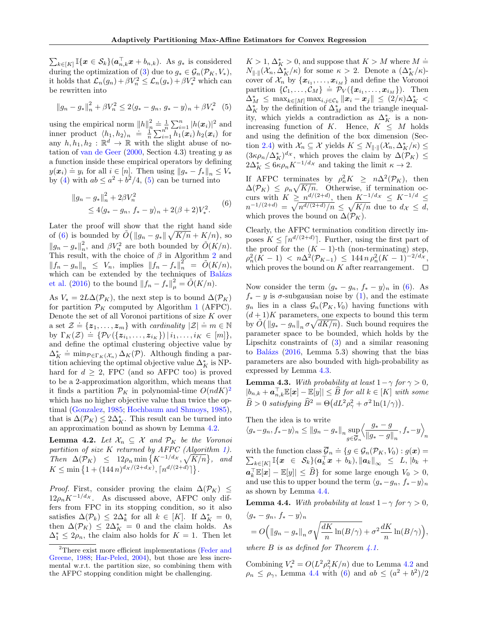$\sum_{k\in[K]} \mathbb{I}\{\boldsymbol{x}\in\mathcal{S}_k\}(\boldsymbol{a}_{n,k}^{\top}\boldsymbol{x}+b_{n,k})$ . As  $g_*$  is considered during the optimization of [\(3\)](#page-3-3) due to  $g_* \in \mathcal{G}_n(\mathcal{P}_K, V_*),$ it holds that  $\mathcal{L}_n(g_n) + \beta V_n^2 \leq \mathcal{L}_n(g_*) + \beta V_*^2$  which can be rewritten into

<span id="page-5-1"></span>
$$
||g_n - g_*||_n^2 + \beta V_n^2 \le 2\langle g_* - g_n, g_* - y \rangle_n + \beta V_*^2
$$
 (5)

using the empirical norm  $||h||_n^2 \doteq \frac{1}{n} \sum_{i=1}^n |h(\boldsymbol{x}_i)|^2$  and inner product  $\langle h_1, h_2 \rangle_n \stackrel{\text{def}}{=} \frac{1}{n} \sum_{i=1}^n h_1(\bm{x}_i) h_2(\bm{x}_i)$  for any  $h, h_1, h_2 : \mathbb{R}^d \to \mathbb{R}$  with the slight abuse of notation of [van de Geer](#page-9-17)  $(2000, \text{Section } 4.3)$  $(2000, \text{Section } 4.3)$  treating y as a function inside these empirical operators by defining  $y(\mathbf{x}_i) = y_i$  for all  $i \in [n]$ . Then using  $||g_* - f_*||_n \leq V_*$ by [\(4\)](#page-4-1) with  $ab \leq a^2 + b^2/4$ , [\(5\)](#page-5-1) can be turned into

<span id="page-5-2"></span>
$$
||g_n - g_*||_n^2 + 2\beta V_n^2
$$
  
\n
$$
\leq 4\langle g_* - g_n, f_* - y \rangle_n + 2(\beta + 2)V_*^2.
$$
 (6)

Later the proof will show that the right hand side of [\(6\)](#page-5-2) is bounded by  $\tilde{O}(\Vert g_n - g_* \Vert \sqrt{K/n} + K/n)$ , so  $||g_n - g_*||_n^2$ , and  $\beta V_n^2$  are both bounded by  $\tilde{O}(K/n)$ . This result, with the choice of  $\beta$  in Algorithm [2](#page-3-0) and  $||f_n - g_n||_n \leq V_n$ , implies  $||f_n - f_*||_n^2 = \tilde{O}(K/n)$ , which can be extended by the techniques of Balázs [et al.](#page-8-12) [\(2016\)](#page-8-12) to the bound  $||f_n - f_*||_{\mu}^2 = \tilde{O}(K/n)$ .

As  $V_* = 2L\Delta(\mathcal{P}_K)$ , the next step is to bound  $\Delta(\mathcal{P}_K)$ for partition  $\mathcal{P}_K$  computed by Algorithm [1](#page-3-1) (AFPC). Denote the set of all Voronoi partitions of size  $K$  over a set  $\mathcal{Z} \doteq \{z_1, \ldots, z_m\}$  with *cardinality*  $|\mathcal{Z}| \doteq m \in \mathbb{N}$ by  $\Gamma_K(\mathcal{Z}) \doteq \{ \mathcal{P}_V(\{z_{i_1},...,z_{i_K}\}) | i_1,...,i_K \in [m] \},$ and define the optimal clustering objective value by  $\Delta_K^* \doteq \min_{\mathcal{P} \in \Gamma_K(\mathcal{X}_n)} \Delta_K(\mathcal{P}).$  Although finding a partition achieving the optimal objective value  $\Delta_K^*$  is NPhard for  $d \geq 2$ , FPC (and so AFPC too) is proved to be a 2-approximation algorithm, which means that it finds a partition  $\mathcal{P}_K$  in polynomial-time  $O(ndK)^2$  $O(ndK)^2$ which has no higher objective value than twice the optimal [\(Gonzalez,](#page-8-8) [1985;](#page-8-8) [Hochbaum and Shmoys,](#page-9-9) [1985\)](#page-9-9), that is  $\Delta(\mathcal{P}_K) \leq 2\Delta_K^*$ . This result can be turned into an approximation bound as shown by Lemma [4.2.](#page-5-0)

<span id="page-5-0"></span>**Lemma 4.2.** Let  $\mathcal{X}_n \subseteq \mathcal{X}$  and  $\mathcal{P}_K$  be the Voronoi partition of size K returned by AFPC (Algorithm [1\)](#page-3-1). Then  $\Delta(\mathcal{P}_K) \leq 12\rho_n \min\left\{K^{-1/d_{\mathcal{X}}}, \sqrt{K/n}\right\}$ , and  $K \leq \min\left\{1 + (144 n)^{d_{\mathcal{X}}/(2+d_{\mathcal{X}})}, \lceil n^{d/(2+d)} \rceil \right\}.$ 

*Proof.* First, consider proving the claim  $\Delta(\mathcal{P}_K) \leq$  $12\rho_nK^{-1/d_x}$ . As discussed above, AFPC only differs from FPC in its stopping condition, so it also satisfies  $\Delta(\mathcal{P}_k) \leq 2\Delta_k^*$  for all  $k \in [K]$ . If  $\Delta_K^* = 0$ , then  $\Delta(\mathcal{P}_K) \leq 2\Delta_K^* = 0$  and the claim holds. As  $\Delta_1^* \leq 2\rho_n$ , the claim also holds for  $K = 1$ . Then let

 $K > 1, \Delta_K^* > 0$ , and suppose that  $K > M$  where  $M \doteq$  $N_{\|\cdot\|}(\mathcal{X}_n, \Delta_K^*/\kappa)$  for some  $\kappa > 2$ . Denote a  $(\Delta_K^*/\kappa)$ cover of  $\mathcal{X}_n$  by  $\{\boldsymbol{x}_{i_1}, \ldots, \boldsymbol{x}_{i_M}\}$  and define the Voronoi partition  $\{C_1, \ldots, C_M\} \doteq \mathcal{P}_V(\{x_{i_1}, \ldots, x_{i_M}\})$ . Then  $\Delta_M^* \leq \max_{k \in [M]} \max_{i,j \in \mathcal{C}_k} ||\boldsymbol{x}_i - \boldsymbol{x}_j|| \leq (2/\kappa) \Delta_K^* <$  $\Delta_K^*$  by the definition of  $\Delta_M^*$  and the triangle inequality, which yields a contradiction as  $\Delta_K^*$  is a nonincreasing function of K. Hence,  $K \leq M$  holds and using the definition of the box dimension (Sec-tion [2.4\)](#page-2-0) with  $\mathcal{X}_n \subseteq \mathcal{X}$  yields  $K \leq N_{\|\cdot\|}(\mathcal{X}_n, \Delta_K^*/\kappa) \leq$  $(3\kappa\rho_n/\Delta_K^*)^{d_{\mathcal{X}}}$ , which proves the claim by  $\Delta(\mathcal{P}_K) \leq$  $2\Delta_K^* \leq 6\kappa \rho_n K^{-1/d_{\mathcal{X}}}$  and taking the limit  $\kappa \to 2$ .

If AFPC terminates by  $\rho_n^2 K \geq n \Delta^2(\mathcal{P}_K)$ , then  $\Delta(\mathcal{P}_K) \leq \rho_n \sqrt{K/n}$ . Otherwise, if termination occurs with  $K \geq n^{d/(2+d)}$ , then  $K^{-1/d_x} \leq K^{-1/d} \leq$  $n^{-1/(2+d)} = \sqrt{n^{d/(2+d)}/n} \leq \sqrt{K/n}$  due to  $d_{\mathcal{X}} \leq d$ , which proves the bound on  $\Delta(\mathcal{P}_K)$ .

Clearly, the AFPC termination condition directly imposes  $K \leq \lceil n^{d/(2+d)} \rceil$ . Further, using the first part of the proof for the  $(K - 1)$ -th (non-terminating) step,  $\rho_n^2(K-1)$  <  $n\Delta^2(\mathcal{P}_{K-1})$   $\leq 144 n \rho_n^2(K-1)^{-2/d_{\mathcal{X}}},$ which proves the bound on K after rearrangement.  $\Box$ 

Now consider the term  $\langle g_* - g_n, f_* - y \rangle_n$  in [\(6\)](#page-5-2). As  $f_* - y$  is  $\sigma$ -subgausian noise by [\(1\)](#page-2-2), and the estimate  $g_n$  lies in a class  $\mathcal{G}_n(\mathcal{P}_K, V_0)$  having functions with  $(d+1)K$  parameters, one expects to bound this term by  $\tilde{O}(\Vert g_* - g_n \Vert_n \sigma \sqrt{dK/n})$ . Such bound requires the parameter space to be bounded, which holds by the Lipschitz constraints of [\(3\)](#page-3-3) and a similar reasoning to Balázs  $(2016, \text{ Lemma } 5.3)$  $(2016, \text{ Lemma } 5.3)$  showing that the bias parameters are also bounded with high-probability as expressed by Lemma [4.3.](#page-5-4)

<span id="page-5-4"></span>**Lemma 4.3.** With probability at least  $1 - \gamma$  for  $\gamma > 0$ ,  $|b_{n,k} + \boldsymbol{a}_{n,k}^{\top} \mathbb{E}[\boldsymbol{x}] - \mathbb{E}[y]| \leq \widehat{B}$  for all  $k \in [K]$  with some  $\widehat{B} > 0$  satisfying  $\widehat{B}^2 = \Theta \big( dL^2 \rho_{\gamma}^2 + \sigma^2 \ln(1/\gamma) \big)$ .

Then the idea is to write  $\langle g_*-g_n, f_*-y \rangle_n \leq ||g_n - g_*||_n \sup$  $g\in\overline{\mathcal{G}}_n$  $\frac{g_* - g}{g}$  $\frac{g_* - g}{\|g_* - g\|_n}, f_* - y \Big\rangle$ n

with the function class  $\overline{\mathcal{G}}_n \doteq$  $\text{with the function class } \mathcal{G}_n \doteq \{g \in \mathcal{G}_n(\mathcal{P}_K, V_0) : g(\boldsymbol{x}) = \ \sum_{k \in [K]} \mathbb{I}\{\boldsymbol{x} \in \mathcal{S}_k\} ( \boldsymbol{a}_k^\top \boldsymbol{x} + b_k), \|\boldsymbol{a}_k\|_\infty \leq L, \, |b_k| + \epsilon \leq L, \; \| \boldsymbol{a}_k \|_\infty, \; \forall \, k \in \mathcal{S}_k \}.$  $a_k^{\top} \mathbb{E}[x] - \mathbb{E}[y] \leq \widehat{B} \}$  for some large enough  $V_0 > 0$ , and use this to upper bound the term  $\langle g_*-g_n, f_*-y \rangle_n$ as shown by Lemma [4.4.](#page-5-5)

<span id="page-5-5"></span>**Lemma 4.4.** With probability at least  $1 - \gamma$  for  $\gamma > 0$ ,  $\langle g_* - g_n, f_* - y \rangle_n$  $= O\Big(\left\|g_{n}-g_{*}\right\|_{n} \sigma$  $\sqrt{dK}$  $\frac{dK}{n}\ln(B/\gamma) + \sigma^2\frac{dK}{n}$  $\frac{dK}{n}\ln(B/\gamma)\Big),$ 

where  $B$  is as defined for Theorem [4.1.](#page-3-2)

Combining  $V_*^2 = O(L^2 \rho_\gamma^2 K/n)$  due to Lemma [4.2](#page-5-0) and  $\rho_n \leq \rho_\gamma$ , Lemma [4.4](#page-5-5) with [\(6\)](#page-5-2) and  $ab \leq (a^2 + b^2)/2$ 

<span id="page-5-3"></span><sup>2</sup>There exist more efficient implementations [\(Feder and](#page-8-13) [Greene,](#page-8-13) [1988;](#page-8-13) [Har-Peled,](#page-9-18) [2004\)](#page-9-18), but those are less incremental w.r.t. the partition size, so combining them with the AFPC stopping condition might be challenging.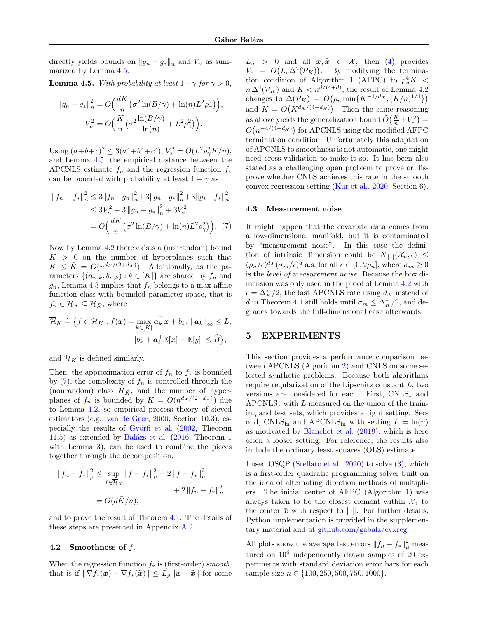directly yields bounds on  $||g_n - g_*||_n$  and  $V_n$  as summarized by Lemma [4.5.](#page-6-3)

<span id="page-6-3"></span>**Lemma 4.5.** With probability at least  $1 - \gamma$  for  $\gamma > 0$ ,

$$
||g_n - g_*||_n^2 = O\Big(\frac{dK}{n} \big(\sigma^2 \ln(B/\gamma) + \ln(n) L^2 \rho_\gamma^2\big)\Big),
$$
  

$$
V_n^2 = O\Big(\frac{K}{n} \big(\sigma^2 \frac{\ln(B/\gamma)}{\ln(n)} + L^2 \rho_\gamma^2\big)\Big).
$$

Using  $(a+b+c)^2 \leq 3(a^2+b^2+c^2), V_*^2 = O(L^2\rho_\gamma^2K/n),$ and Lemma [4.5,](#page-6-3) the empirical distance between the APCNLS estimate  $f_n$  and the regression function  $f_*$ can be bounded with probability at least  $1 - \gamma$  as

<span id="page-6-4"></span>
$$
||f_n - f_*||_n^2 \le 3||f_n - g_n||_n^2 + 3||g_n - g_*||_n^2 + 3||g_* - f_*||_n^2
$$
  
\n
$$
\le 3V_n^2 + 3||g_n - g_*||_n^2 + 3V_*^2
$$
  
\n
$$
= O\Big(\frac{dK}{n} \big(\sigma^2 \ln(B/\gamma) + \ln(n)L^2 \rho_\gamma^2\big)\Big). \tag{7}
$$

Now by Lemma [4.2](#page-5-0) there exists a (nonrandom) bound  $K > 0$  on the number of hyperplanes such that  $K \leq \bar{K} = O(n^{d_{\mathcal{X}}/(2+d_{\mathcal{X}})})$ . Additionally, as the parameters  $\{(\boldsymbol{a}_{n,k}, b_{n,k}): k \in [K]\}\$ are shared by  $f_n$  and  $g_n$ , Lemma [4.3](#page-5-4) implies that  $f_n$  belongs to a max-affine function class with bounded parameter space, that is  $f_n \in \overline{\mathcal{H}}_K \subseteq \overline{\mathcal{H}}_{\overline{K}}$ , where

$$
\overline{\mathcal{H}}_K \doteq \big\{ f \in \mathcal{H}_K : f(\boldsymbol{x}) = \max_{k \in [K]} \boldsymbol{a}_k^\top \boldsymbol{x} + b_k, \, \|\boldsymbol{a}_k\|_\infty \leq L, |b_k + \boldsymbol{a}_k^\top \mathbb{E}[\boldsymbol{x}] - \mathbb{E}[y]| \leq \widehat{B} \big\},\
$$

and  $\overline{\mathcal{H}}_{\bar{K}}$  is defined similarly.

Then, the approximation error of  $f_n$  to  $f_*$  is bounded by  $(7)$ , the complexity of  $f_n$  is controlled through the (nonrandom) class  $\overline{\mathcal{H}}_{\bar{K}}$ , and the number of hyperplanes of  $f_n$  is bounded by  $\overline{K} = O(n^{d_X/(2+d_X)})$  due to Lemma [4.2,](#page-5-0) so empirical process theory of sieved estimators (e.g., [van de Geer,](#page-9-17) [2000,](#page-9-17) Section 10.3), especially the results of Györfi et al.  $(2002,$  Theorem 11.5) as extended by Balázs et al.  $(2016,$  Theorem 1 with Lemma 3), can be used to combine the pieces together through the decomposition,

$$
||f_n - f_*||_{\mu}^2 \le \sup_{f \in \overline{\mathcal{H}}_{\bar{K}}} ||f - f_*||_{\mu}^2 - 2 ||f - f_*||_{n}^2
$$
  
+ 2 ||f\_n - f\_\*||\_{n}^2  
=  $\tilde{O}(d\bar{K}/n)$ ,

and to prove the result of Theorem [4.1.](#page-3-2) The details of these steps are presented in Appendix [A.2.](#page-12-0)

### <span id="page-6-1"></span>4.2 Smoothness of  $f_*$

When the regression function  $f_*$  is (first-order) *smooth*, that is if  $\|\nabla f_*(\bm{x}) - \nabla f_*(\widehat{\bm{x}})\| \leq L_q \|\bm{x} - \widehat{\bm{x}}\|$  for some  $L_g > 0$  and all  $x, \hat{x} \in \mathcal{X}$ , then [\(4\)](#page-4-1) provides  $V_* = O(L_g \Delta^2(\mathcal{P}_K))$ . By modifying the termina-tion condition of Algorithm [1](#page-3-1) (AFPC) to  $\rho_n^4 K <$  $n \Delta^4(\mathcal{P}_K)$  and  $K < n^{d/(4+d)}$ , the result of Lemma [4.2](#page-5-0) changes to  $\Delta(\mathcal{P}_K) = O(\rho_n \min\{K^{-1/d_x}, (K/n)^{1/4}\})$ and  $K = O(K^{d_{\mathcal{X}}/(4+d_{\mathcal{X}})})$ . Then the same reasoning as above yields the generalization bound  $\tilde{O}(\frac{K}{n} + V_*^2) =$  $\tilde{O}(n^{-4/(4+d_{\mathcal{X}})})$  for APCNLS using the modified AFPC termination condition. Unfortunately this adaptation of APCNLS to smoothness is not automatic, one might need cross-validation to make it so. It has been also stated as a challenging open problem to prove or disprove whether CNLS achieves this rate in the smooth convex regression setting [\(Kur et al.,](#page-9-4) [2020,](#page-9-4) Section 6).

#### <span id="page-6-2"></span>4.3 Measurement noise

It might happen that the covariate data comes from a low-dimensional manifold, but it is contaminated by "measurement noise". In this case the definition of intrinsic dimension could be  $N_{\parallel \cdot \parallel}(\mathcal{X}_n, \epsilon) \leq$  $(\rho_n/\epsilon)^{d_{\mathcal{X}}}(\sigma_m/\epsilon)^d$  a.s. for all  $\epsilon \in (0, 2\rho_n]$ , where  $\sigma_m \geq 0$ is the level of measurement noise. Because the box dimension was only used in the proof of Lemma [4.2](#page-5-0) with  $\epsilon = \Delta_K^*/2$ , the fast APCNLS rate using  $d_{\mathcal{X}}$  instead of d in Theorem [4.1](#page-3-2) still holds until  $\sigma_m \leq \Delta_K^*/2$ , and degrades towards the full-dimensional case afterwards.

## <span id="page-6-0"></span>5 EXPERIMENTS

This section provides a performance comparison between APCNLS (Algorithm [2\)](#page-3-0) and CNLS on some selected synthetic problems. Because both algorithms require regularization of the Lipschitz constant L, two versions are considered for each. First, CNLS<sup>∗</sup> and  $APCNLS_*$  with L measured on the union of the training and test sets, which provides a tight setting. Second, CNLS<sub>ln</sub> and APCNLS<sub>ln</sub> with setting  $L = \ln(n)$ as motivated by [Blanchet et al.](#page-8-11) [\(2019\)](#page-8-11), which is here often a looser setting. For reference, the results also include the ordinary least squares (OLS) estimate.

I used OSQP [\(Stellato et al.,](#page-9-19) [2020\)](#page-9-19) to solve [\(3\)](#page-3-3), which is a first-order quadratic programming solver built on the idea of alternating direction methods of multipliers. The initial center of AFPC (Algorithm [1\)](#page-3-1) was always taken to be the closest element within  $\mathcal{X}_n$  to the center  $\bar{x}$  with respect to  $\|\cdot\|$ . For further details, Python implementation is provided in the supplementary material and at [github.com/gabalz/cvxreg.](https://github.com/gabalz/cvxreg)

All plots show the average test errors  $||f_n - f_*||^2_{\mu}$  measured on  $10^6$  independently drawn samples of 20 experiments with standard deviation error bars for each sample size  $n \in \{100, 250, 500, 750, 1000\}.$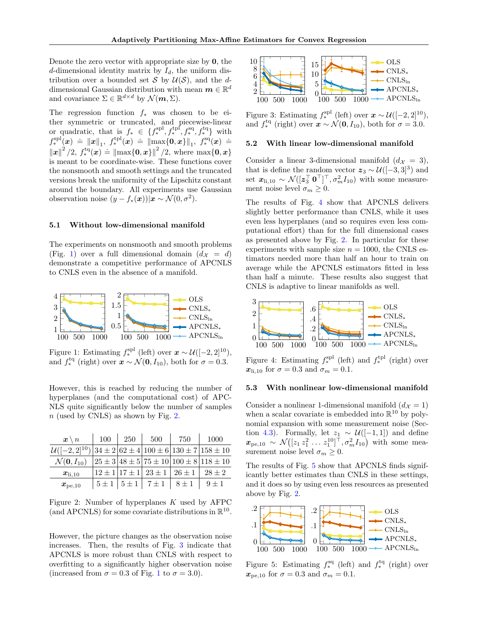Denote the zero vector with appropriate size by 0, the d-dimensional identity matrix by  $I_d$ , the uniform distribution over a bounded set S by  $\mathcal{U}(\mathcal{S})$ , and the ddimensional Gaussian distribution with mean  $\boldsymbol{m} \in \mathbb{R}^d$ and covariance  $\Sigma \in \mathbb{R}^{d \times d}$  by  $\mathcal{N}(m, \Sigma)$ .

The regression function  $f_*$  was chosen to be either symmetric or truncated, and piecewise-linear or quadratic, that is  $f_* \in \{f_*^{\text{spl}}, f_*^{\text{tpl}}, f_*^{\text{sq}}, f_*^{\text{tq}}\}$  with  $f_*^{\text{spl}}(x) = \|x\|_1, f_*^{\text{th}}(x) = \|\max\{0, x\}\|_1, f_*^{\text{sq}}(x) =$  $\|\mathbf{x}\|^2/2$ ,  $f_*^{\text{te}}(\mathbf{x}) \doteq \|\max\{0, \mathbf{x}\}\|^2/2$ , where  $\max\{0, \mathbf{x}\}\$ is meant to be coordinate-wise. These functions cover the nonsmooth and smooth settings and the truncated versions break the uniformity of the Lipschitz constant around the boundary. All experiments use Gaussian observation noise  $(y - f_*(x)) | x \sim \mathcal{N}(0, \sigma^2)$ .

### 5.1 Without low-dimensional manifold

The experiments on nonsmooth and smooth problems (Fig. [1\)](#page-7-0) over a full dimensional domain  $(d_X = d)$ demonstrate a competitive performance of APCNLS to CNLS even in the absence of a manifold.



Figure 1: Estimating  $f_*^{\text{spl}}$  (left) over  $\mathbf{x} \sim \mathcal{U}([-2, 2]^{10})$ , and  $f_*^{\text{tq}}$  (right) over  $\mathbf{x} \sim \mathcal{N}(\mathbf{0}, I_{10})$ , both for  $\sigma = 0.3$ .

However, this is reached by reducing the number of hyperplanes (and the computational cost) of APC-NLS quite significantly below the number of samples  $n$  (used by CNLS) as shown by Fig. [2.](#page-7-1)

| $\boldsymbol{x} \setminus n$                                                 | 100       | 250 | 500                                         | 750       | 1000                                                |
|------------------------------------------------------------------------------|-----------|-----|---------------------------------------------|-----------|-----------------------------------------------------|
| $\mathcal{U}([-2, 2]^{10}) 34 \pm 2 62 \pm 4 100 \pm 6 130 \pm 7 158 \pm 10$ |           |     |                                             |           |                                                     |
| $\mathcal{N}(\mathbf{0}, I_{10})$                                            |           |     |                                             |           | $ 25 \pm 3 48 \pm 5 75 \pm 10 100 \pm 8 118 \pm 10$ |
| $x_{\text{li},10}$                                                           |           |     | $12 \pm 1   17 \pm 1   23 \pm 1   26 \pm 1$ |           | $28 + 2$                                            |
| $\bm{x}_{\mathrm{pe},10}$                                                    | $5 \pm 1$ |     | $15 \pm 1$   $7 \pm 1$                      | $8 \pm 1$ | $9 + 1$                                             |

<span id="page-7-1"></span>Figure 2: Number of hyperplanes  $K$  used by AFPC (and APCNLS) for some covariate distributions in  $\mathbb{R}^{10}$ .

However, the picture changes as the observation noise increases. Then, the results of Fig. [3](#page-7-2) indicate that APCNLS is more robust than CNLS with respect to overfitting to a significantly higher observation noise (increased from  $\sigma = 0.3$  of Fig. [1](#page-7-0) to  $\sigma = 3.0$ ).



<span id="page-7-2"></span>Figure 3: Estimating  $f_*^{\text{spl}}$  (left) over  $\boldsymbol{x} \sim \mathcal{U}([-2, 2]^{10})$ , and  $f_*^{\text{tq}}$  (right) over  $\mathbf{x} \sim \mathcal{N}(\mathbf{0}, I_{10})$ , both for  $\sigma = 3.0$ .

## 5.2 With linear low-dimensional manifold

Consider a linear 3-dimensional manifold  $(d<sub>X</sub> = 3)$ , that is define the random vector  $z_3 \sim \mathcal{U}([-3,3]^3)$  and set  $\mathbf{x}_{1i,10} \sim \mathcal{N}([\mathbf{z}_3^\top \ \mathbf{0}^\top]^\top, \sigma_m^2 I_{10})$  with some measurement noise level  $\sigma_m \geq 0$ .

The results of Fig. [4](#page-7-3) show that APCNLS delivers slightly better performance than CNLS, while it uses even less hyperplanes (and so requires even less computational effort) than for the full dimensional cases as presented above by Fig. [2.](#page-7-1) In particular for these experiments with sample size  $n = 1000$ , the CNLS estimators needed more than half an hour to train on average while the APCNLS estimators fitted in less than half a minute. These results also suggest that CNLS is adaptive to linear manifolds as well.



<span id="page-7-3"></span><span id="page-7-0"></span>Figure 4: Estimating  $f_*^{\text{spl}}$  (left) and  $f_*^{\text{tpl}}$  (right) over  $x_{\text{li},10}$  for  $\sigma = 0.3$  and  $\sigma_m = 0.1$ .

#### 5.3 With nonlinear low-dimensional manifold

Consider a nonlinear 1-dimensional manifold  $(d<sub>X</sub> = 1)$ when a scalar covariate is embedded into  $\mathbb{R}^{10}$  by polynomial expansion with some measurement noise (Sec-tion [4.3\)](#page-6-2). Formally, let  $z_1 \sim \mathcal{U}([-1,1])$  and define  $\pmb{x}_{\mathrm{pe},10} \sim \mathcal{N}\big([z_1\,z_1^2\,\ldots\,z_1^{10}]^\top,\sigma_m^2 I_{10}\big)$  with some measurement noise level  $\sigma_m \geq 0$ .

The results of Fig. [5](#page-7-4) show that APCNLS finds significantly better estimates than CNLS in these settings, and it does so by using even less resources as presented above by Fig. [2.](#page-7-1)



<span id="page-7-4"></span>Figure 5: Estimating  $f_*^{\text{sq}}$  (left) and  $f_*^{\text{tq}}$  (right) over  $x_{pe,10}$  for  $\sigma = 0.3$  and  $\sigma_m = 0.1$ .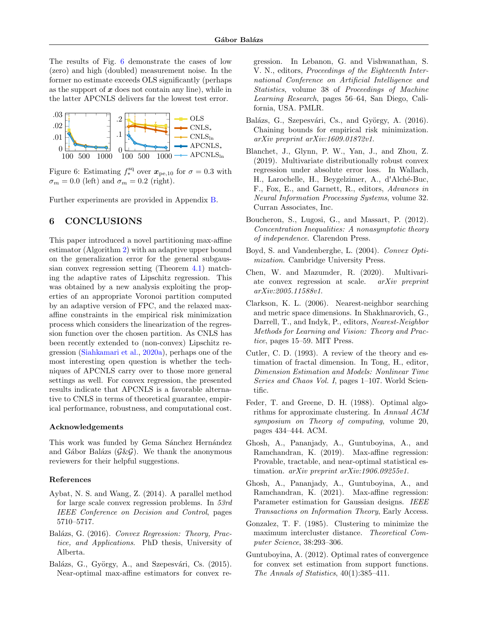The results of Fig. [6](#page-8-14) demonstrate the cases of low (zero) and high (doubled) measurement noise. In the former no estimate exceeds OLS significantly (perhaps as the support of  $x$  does not contain any line), while in the latter APCNLS delivers far the lowest test error.



Figure 6: Estimating  $f_*^{\text{sq}}$  over  $\mathbf{x}_{\text{pe},10}$  for  $\sigma = 0.3$  with  $\sigma_m = 0.0$  (left) and  $\sigma_m = 0.2$  (right).

Further experiments are provided in Appendix [B.](#page-14-0)

## 6 CONCLUSIONS

This paper introduced a novel partitioning max-affine estimator (Algorithm [2\)](#page-3-0) with an adaptive upper bound on the generalization error for the general subgaussian convex regression setting (Theorem [4.1\)](#page-3-2) matching the adaptive rates of Lipschitz regression. This was obtained by a new analysis exploiting the properties of an appropriate Voronoi partition computed by an adaptive version of FPC, and the relaxed maxaffine constraints in the empirical risk minimization process which considers the linearization of the regression function over the chosen partition. As CNLS has been recently extended to (non-convex) Lipschitz regression [\(Siahkamari et al.,](#page-9-20) [2020a\)](#page-9-20), perhaps one of the most interesting open question is whether the techniques of APCNLS carry over to those more general settings as well. For convex regression, the presented results indicate that APCNLS is a favorable alternative to CNLS in terms of theoretical guarantee, empirical performance, robustness, and computational cost.

#### Acknowledgements

This work was funded by Gema Sánchez Hernández and Gábor Balázs  $(G \& G)$ . We thank the anonymous reviewers for their helpful suggestions.

### References

- <span id="page-8-2"></span>Aybat, N. S. and Wang, Z. (2014). A parallel method for large scale convex regression problems. In 53rd IEEE Conference on Decision and Control, pages 5710–5717.
- <span id="page-8-5"></span>Balázs, G. (2016). Convex Regression: Theory, Practice, and Applications. PhD thesis, University of Alberta.
- <span id="page-8-1"></span>Balázs, G., György, A., and Szepesvári, Cs. (2015). Near-optimal max-affine estimators for convex re-

gression. In Lebanon, G. and Vishwanathan, S. V. N., editors, Proceedings of the Eighteenth International Conference on Artificial Intelligence and Statistics, volume 38 of Proceedings of Machine Learning Research, pages 56–64, San Diego, California, USA. PMLR.

- <span id="page-8-12"></span>Balázs, G., Szepesvári, Cs., and György, A. (2016). Chaining bounds for empirical risk minimization. arXiv preprint arXiv:1609.01872v1.
- <span id="page-8-14"></span><span id="page-8-11"></span>Blanchet, J., Glynn, P. W., Yan, J., and Zhou, Z. (2019). Multivariate distributionally robust convex regression under absolute error loss. In Wallach, H., Larochelle, H., Beygelzimer, A., d'Alché-Buc, F., Fox, E., and Garnett, R., editors, Advances in Neural Information Processing Systems, volume 32. Curran Associates, Inc.
- <span id="page-8-15"></span>Boucheron, S., Lugosi, G., and Massart, P. (2012). Concentration Inequalities: A nonasymptotic theory of independence. Clarendon Press.
- <span id="page-8-0"></span>Boyd, S. and Vandenberghe, L. (2004). Convex Optimization. Cambridge University Press.
- <span id="page-8-3"></span>Chen, W. and Mazumder, R. (2020). Multivariate convex regression at scale. arXiv preprint arXiv:2005.11588v1.
- <span id="page-8-10"></span>Clarkson, K. L. (2006). Nearest-neighbor searching and metric space dimensions. In Shakhnarovich, G., Darrell, T., and Indyk, P., editors, Nearest-Neighbor Methods for Learning and Vision: Theory and Practice, pages 15–59. MIT Press.
- <span id="page-8-9"></span>Cutler, C. D. (1993). A review of the theory and estimation of fractal dimension. In Tong, H., editor, Dimension Estimation and Models: Nonlinear Time Series and Chaos Vol. I, pages 1–107. World Scientific.
- <span id="page-8-13"></span>Feder, T. and Greene, D. H. (1988). Optimal algorithms for approximate clustering. In Annual ACM symposium on Theory of computing, volume 20, pages 434–444. ACM.
- <span id="page-8-6"></span>Ghosh, A., Pananjady, A., Guntuboyina, A., and Ramchandran, K. (2019). Max-affine regression: Provable, tractable, and near-optimal statistical estimation. arXiv preprint arXiv:1906.09255v1.
- <span id="page-8-7"></span>Ghosh, A., Pananjady, A., Guntuboyina, A., and Ramchandran, K. (2021). Max-affine regression: Parameter estimation for Gaussian designs. IEEE Transactions on Information Theory, Early Access.
- <span id="page-8-8"></span>Gonzalez, T. F. (1985). Clustering to minimize the maximum intercluster distance. Theoretical Computer Science, 38:293–306.
- <span id="page-8-4"></span>Guntuboyina, A. (2012). Optimal rates of convergence for convex set estimation from support functions. The Annals of Statistics, 40(1):385–411.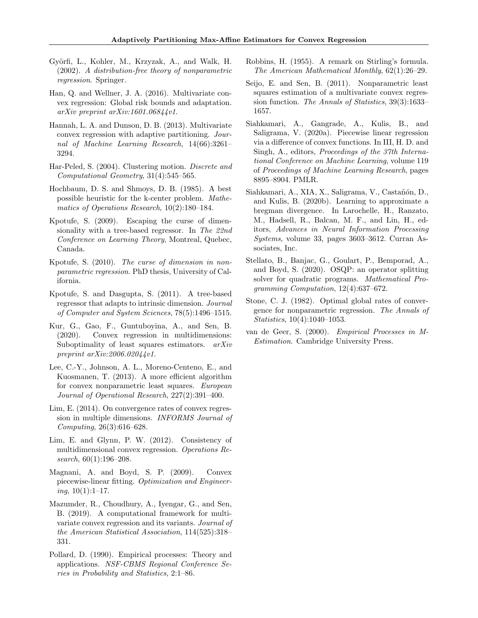- <span id="page-9-11"></span>Györfi, L., Kohler, M., Krzyzak, A., and Walk, H. (2002). A distribution-free theory of nonparametric regression. Springer.
- <span id="page-9-3"></span>Han, Q. and Wellner, J. A. (2016). Multivariate convex regression: Global risk bounds and adaptation. arXiv preprint arXiv:1601.06844v1.
- <span id="page-9-10"></span>Hannah, L. A. and Dunson, D. B. (2013). Multivariate convex regression with adaptive partitioning. Journal of Machine Learning Research, 14(66):3261– 3294.
- <span id="page-9-18"></span>Har-Peled, S. (2004). Clustering motion. Discrete and Computational Geometry, 31(4):545–565.
- <span id="page-9-9"></span>Hochbaum, D. S. and Shmoys, D. B. (1985). A best possible heuristic for the k-center problem. Mathematics of Operations Research, 10(2):180–184.
- <span id="page-9-14"></span>Kpotufe, S. (2009). Escaping the curse of dimensionality with a tree-based regressor. In The 22nd Conference on Learning Theory, Montreal, Quebec, Canada.
- <span id="page-9-12"></span>Kpotufe, S. (2010). The curse of dimension in nonparametric regression. PhD thesis, University of California.
- <span id="page-9-13"></span>Kpotufe, S. and Dasgupta, S. (2011). A tree-based regressor that adapts to intrinsic dimension. Journal of Computer and System Sciences, 78(5):1496–1515.
- <span id="page-9-4"></span>Kur, G., Gao, F., Guntuboyina, A., and Sen, B. (2020). Convex regression in multidimensions: Suboptimality of least squares estimators.  $arXiv$ preprint arXiv:2006.02044v1.
- <span id="page-9-5"></span>Lee, C.-Y., Johnson, A. L., Moreno-Centeno, E., and Kuosmanen, T. (2013). A more efficient algorithm for convex nonparametric least squares. European Journal of Operational Research, 227(2):391–400.
- <span id="page-9-2"></span>Lim, E. (2014). On convergence rates of convex regression in multiple dimensions. INFORMS Journal of Computing, 26(3):616–628.
- <span id="page-9-1"></span>Lim, E. and Glynn, P. W. (2012). Consistency of multidimensional convex regression. Operations Research, 60(1):196–208.
- <span id="page-9-8"></span>Magnani, A. and Boyd, S. P. (2009). Convex piecewise-linear fitting. Optimization and Engineer $inq$ ,  $10(1):1-17$ .
- <span id="page-9-6"></span>Mazumder, R., Choudhury, A., Iyengar, G., and Sen, B. (2019). A computational framework for multivariate convex regression and its variants. Journal of the American Statistical Association, 114(525):318– 331.
- <span id="page-9-15"></span>Pollard, D. (1990). Empirical processes: Theory and applications. NSF-CBMS Regional Conference Series in Probability and Statistics, 2:1–86.
- <span id="page-9-21"></span>Robbins, H. (1955). A remark on Stirling's formula. The American Mathematical Monthly, 62(1):26–29.
- <span id="page-9-0"></span>Seijo, E. and Sen, B. (2011). Nonparametric least squares estimation of a multivariate convex regression function. The Annals of Statistics, 39(3):1633– 1657.
- <span id="page-9-20"></span>Siahkamari, A., Gangrade, A., Kulis, B., and Saligrama, V. (2020a). Piecewise linear regression via a difference of convex functions. In III, H. D. and Singh, A., editors, Proceedings of the 37th International Conference on Machine Learning, volume 119 of Proceedings of Machine Learning Research, pages 8895–8904. PMLR.
- <span id="page-9-7"></span>Siahkamari, A., XIA, X., Saligrama, V., Castañón, D., and Kulis, B. (2020b). Learning to approximate a bregman divergence. In Larochelle, H., Ranzato, M., Hadsell, R., Balcan, M. F., and Lin, H., editors, Advances in Neural Information Processing Systems, volume 33, pages 3603–3612. Curran Associates, Inc.
- <span id="page-9-19"></span>Stellato, B., Banjac, G., Goulart, P., Bemporad, A., and Boyd, S. (2020). OSQP: an operator splitting solver for quadratic programs. Mathematical Programming Computation, 12(4):637–672.
- <span id="page-9-16"></span>Stone, C. J. (1982). Optimal global rates of convergence for nonparametric regression. The Annals of Statistics, 10(4):1040–1053.
- <span id="page-9-17"></span>van de Geer, S. (2000). Empirical Processes in M-Estimation. Cambridge University Press.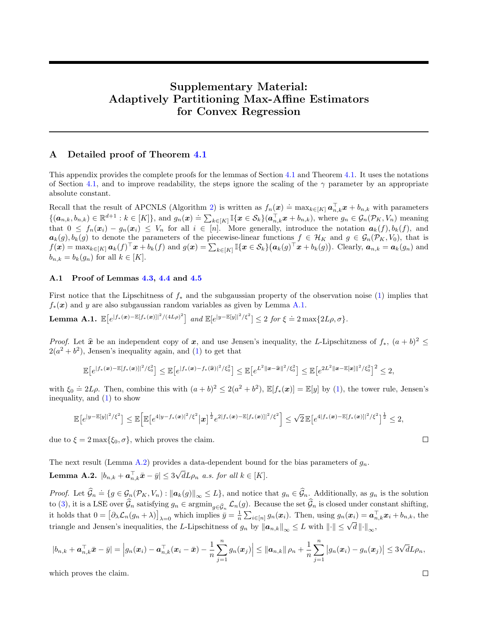# Supplementary Material: Adaptively Partitioning Max-Affine Estimators for Convex Regression

## <span id="page-10-0"></span>A Detailed proof of Theorem [4.1](#page-3-2)

This appendix provides the complete proofs for the lemmas of Section [4.1](#page-4-0) and Theorem [4.1.](#page-3-2) It uses the notations of Section [4.1,](#page-4-0) and to improve readability, the steps ignore the scaling of the  $\gamma$  parameter by an appropriate absolute constant.

Recall that the result of APCNLS (Algorithm [2\)](#page-3-0) is written as  $f_n(x) \doteq \max_{k \in [K]} a_{n,k}^{\top} x + b_{n,k}$  with parameters  $\{(\boldsymbol{a}_{n,k}, b_{n,k}) \in \mathbb{R}^{d+1} : k \in [K]\},\$  and  $g_n(\boldsymbol{x}) \doteq \sum_{k \in [K]}^{\infty} \mathbb{I}\{\boldsymbol{x} \in \mathcal{S}_k\}(\boldsymbol{a}_{n,k}^{\top} \boldsymbol{x} + b_{n,k}),$  where  $g_n \in \mathcal{G}_n(\mathcal{P}_K, V_n)$  meaning that  $0 \le f_n(x_i) - g_n(x_i) \le V_n$  for all  $i \in [n]$ . More generally, introduce the notation  $a_k(f), b_k(f)$ , and  $a_k(g), b_k(g)$  to denote the parameters of the piecewise-linear functions  $f \in \mathcal{H}_K$  and  $g \in \mathcal{G}_n(\mathcal{P}_K, V_0)$ , that is  $f(\boldsymbol{x}) = \max_{k \in [K]} \boldsymbol{a}_k(f)^\top \boldsymbol{x} + b_k(f)$  and  $g(\boldsymbol{x}) = \sum_{k \in [K]} \mathbb{I}\{\boldsymbol{x} \in \mathcal{S}_k\}(\boldsymbol{a}_k(g)^\top \boldsymbol{x} + b_k(g))$ . Clearly,  $\boldsymbol{a}_{n,k} = \boldsymbol{a}_k(g_n)$  and  $b_{n,k} = b_k(g_n)$  for all  $k \in [K]$ .

## A.1 Proof of Lemmas [4.3,](#page-5-4) [4.4](#page-5-5) and [4.5](#page-6-3)

First notice that the Lipschitness of  $f_*$  and the subgaussian property of the observation noise [\(1\)](#page-2-2) implies that  $f_*(x)$  and y are also subgaussian random variables as given by Lemma [A.1.](#page-10-1)

<span id="page-10-1"></span>**Lemma A.1.** 
$$
\mathbb{E}[e^{|f_*(x) - \mathbb{E}[f_*(x)]|^2/(4L\rho)^2}]
$$
 and  $\mathbb{E}[e^{|y - \mathbb{E}[y]|^2/\xi^2}] \leq 2$  for  $\xi \doteq 2 \max\{2L\rho, \sigma\}$ .

*Proof.* Let  $\hat{x}$  be an independent copy of  $x$ , and use Jensen's inequality, the L-Lipschitzness of  $f_*, (a + b)^2 \le 2(a^2 + b^2)$ . Jonson's inequality again and (1) to get that  $2(a^2 + b^2)$ , Jensen's inequality again, and [\(1\)](#page-2-2) to get that

$$
\mathbb{E}\big[e^{|f_*(\pmb{x})-\mathbb{E}[f_*(\pmb{x})]|^2/\xi_0^2}\big]\leq \mathbb{E}\big[e^{|f_*(\pmb{x})-f_*(\widehat{\pmb{x}})|^2/\xi_0^2}\big]\leq \mathbb{E}\big[e^{L^2\|\pmb{x}-\widehat{\pmb{x}}\|^2/\xi_0^2}\big]\leq \mathbb{E}\big[e^{2L^2\|\pmb{x}-\mathbb{E}[\pmb{x}\|^2/\xi_0^2}\big]^2\leq 2,
$$

with  $\xi_0 \doteq 2L\rho$ . Then, combine this with  $(a+b)^2 \leq 2(a^2+b^2)$ ,  $\mathbb{E}[f_*(x)] = \mathbb{E}[y]$  by [\(1\)](#page-2-2), the tower rule, Jensen's inequality, and [\(1\)](#page-2-2) to show

$$
\mathbb{E}\big[e^{|y-\mathbb{E}[y]|^2/\xi^2}\big]\leq \mathbb{E}\Big[\mathbb{E}\big[e^{4|y-f_*(\pmb{x})|^2/\xi^2}\big|\pmb{x}\big]^{\frac{1}{2}}e^{2|f_*(\pmb{x})-\mathbb{E}[f_*(\pmb{x})]|^2/\xi^2}\Big]\leq \sqrt{2}\,\mathbb{E}\big[e^{4|f_*(\pmb{x})-\mathbb{E}[f_*(\pmb{x})]|^2/\xi^2}\big]^{\frac{1}{2}}\leq 2,
$$

due to  $\xi = 2 \max{\{\xi_0, \sigma\}}$ , which proves the claim.

<span id="page-10-2"></span>The next result (Lemma [A.2\)](#page-10-2) provides a data-dependent bound for the bias parameters of  $g_n$ .  $\textbf{Lemma A.2.}\ \left|b_{n,k}+\boldsymbol{a}_{n,k}^{\top}\bar{\boldsymbol{x}}-\bar{y}\right|\leq3$ √  $dL\rho_n$  a.s. for all  $k \in [K]$ .

Proof. Let  $\widehat{\mathcal{G}}_n \doteq \{g \in \mathcal{G}_n(\mathcal{P}_K, V_n) : ||a_k(g)||_{\infty} \leq L\}$ , and notice that  $g_n \in \widehat{\mathcal{G}}_n$ . Additionally, as  $g_n$  is the solution to [\(3\)](#page-3-3), it is a LSE over  $\mathcal{G}_n$  satisfying  $g_n \in \operatorname{argmin}_{g \in \widehat{\mathcal{G}}_n} \mathcal{L}_n(g)$ . Because the set  $\mathcal{G}_n$  is closed under constant shifting, it holds that  $0 = [\partial_{\lambda} \mathcal{L}_n(g_n + \lambda)]_{\lambda=0}$  which implies  $\bar{y} = \frac{1}{n} \sum_{i \in [n]} g_n(x_i)$ . Then, using  $g_n(x_i) = \mathbf{a}_{n,k}^{\top} x_i + b_{n,k}$ , the triangle and Jensen's inequalities, the L-Lipschitness of  $g_n$  by  $||a_{n,k}||_{\infty} \leq L$  with  $||\cdot|| \leq \sqrt{d} ||\cdot||_{\infty}$ ,

$$
|b_{n,k} + \boldsymbol{a}_{n,k}^{\top}\bar{\boldsymbol{x}} - \bar{y}| = \left|g_n(\boldsymbol{x}_i) - \boldsymbol{a}_{n,k}^{\top}(\boldsymbol{x}_i - \bar{\boldsymbol{x}}) - \frac{1}{n}\sum_{j=1}^n g_n(\boldsymbol{x}_j)\right| \leq \|\boldsymbol{a}_{n,k}\| \rho_n + \frac{1}{n}\sum_{j=1}^n \left|g_n(\boldsymbol{x}_i) - g_n(\boldsymbol{x}_j)\right| \leq 3\sqrt{d}L\rho_n,
$$

which proves the claim.

 $\Box$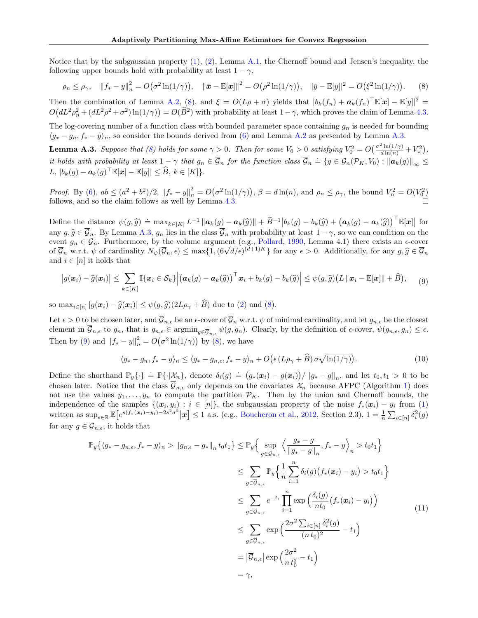Notice that by the subgaussian property  $(1)$ ,  $(2)$ , Lemma [A.1,](#page-10-1) the Chernoff bound and Jensen's inequality, the following upper bounds hold with probability at least  $1 - \gamma$ ,

<span id="page-11-0"></span>
$$
\rho_n \le \rho_\gamma, \quad \|f_* - y\|_n^2 = O(\sigma^2 \ln(1/\gamma)), \quad \|\bar{\mathbf{x}} - \mathbb{E}[\mathbf{x}]\|^2 = O(\rho^2 \ln(1/\gamma)), \quad |\bar{y} - \mathbb{E}[y]|^2 = O(\xi^2 \ln(1/\gamma)). \tag{8}
$$

Then the combination of Lemma [A.2,](#page-10-2) [\(8\)](#page-11-0), and  $\xi = O(L\rho + \sigma)$  yields that  $|b_k(f_n) + a_k(f_n)^{\top} \mathbb{E}[\mathbf{x}] - \mathbb{E}[y]|^2 =$  $O(dL^2\rho_n^2 + (dL^2\rho^2 + \sigma^2)\ln(1/\gamma)) = O(\widehat{B}^2)$  with probability at least  $1 - \gamma$ , which proves the claim of Lemma [4.3.](#page-5-4)

The log-covering number of a function class with bounded parameter space containing  $g_n$  is needed for bounding  $\langle g_* - g_n, f_* - y \rangle_n$ , so consider the bounds derived from [\(6\)](#page-5-2) and Lemma [A.2](#page-10-2) as presented by Lemma [A.3.](#page-11-1)

<span id="page-11-1"></span>**Lemma A.3.** Suppose that [\(8\)](#page-11-0) holds for some  $\gamma > 0$ . Then for some  $V_0 > 0$  satisfying  $V_0^2 = O(\frac{\sigma^2 \ln(1/\gamma)}{d \ln(n)} + V_*^2)$ , it holds with probability at least  $1 - \gamma$  that  $g_n \in \overline{\mathcal{G}}_n$  for the function class  $\overline{\mathcal{G}}_n \doteq \{g \in \mathcal{G}_n(\mathcal{P}_K, V_0) : ||\mathbf{a}_k(g)||_{\infty} \leq$  $L, |b_k(g) - a_k(g)^\top \mathbb{E}[\boldsymbol{x}] - \mathbb{E}[y]| \leq \widehat{B}, k \in [K]$ .

Proof. By [\(6\)](#page-5-2),  $ab \leq (a^2 + b^2)/2$ ,  $||f_* - y||_n^2 = O(\sigma^2 \ln(1/\gamma))$ ,  $\beta = d \ln(n)$ , and  $\rho_n \leq \rho_\gamma$ , the bound  $V_n^2 = O(V_0^2)$ follows, and so the claim follows as well by Lemma [4.3.](#page-5-4)  $\Box$ 

Define the distance  $\psi(g,\widehat{g}) \doteq \max_{k \in [K]} L^{-1} ||a_k(g) - a_k(\widehat{g})|| + \widehat{B}^{-1} |b_k(g) - b_k(\widehat{g}) + (a_k(g) - a_k(\widehat{g}))^\top \mathbb{E}[x]$  for any  $g, \hat{g} \in \overline{\mathcal{G}}_n$ . By Lemma [A.3,](#page-11-1)  $g_n$  lies in the class  $\overline{\mathcal{G}}_n$  with probability at least  $1 - \gamma$ , so we can condition on the event  $g_n \in \overline{\mathcal{G}}_n$ . Furthermore, by the volume argument (e.g., [Pollard,](#page-9-15) [1990,](#page-9-15) Lemma 4.1) there exists an  $\epsilon$ -cover event  $g_n \in \mathcal{G}_n$ . Furthermore, by the volume argument (e.g., Pollard, 1990, Lemma 4.1) there exists an  $\epsilon$ -cover<br>of  $\overline{\mathcal{G}}_n$  w.r.t.  $\psi$  of cardinality  $N_{\psi}(\overline{\mathcal{G}}_n, \epsilon) \leq \max\{1, (\frac{6\sqrt{d}}{\epsilon})^{(d+1)K}\}\$  for any and  $i \in [n]$  it holds that

<span id="page-11-2"></span>
$$
\big|g(\boldsymbol{x}_i)-\widehat{g}(\boldsymbol{x}_i)\big|\leq \sum_{k\in[K]}\mathbb{I}\{\boldsymbol{x}_i\in\mathcal{S}_k\}\Big|\big(\boldsymbol{a}_k(g)-\boldsymbol{a}_k(\widehat{g})\big)^{\top}\boldsymbol{x}_i+b_k(g)-b_k(\widehat{g})\Big|\leq \psi(g,\widehat{g})\big(L\left\|\boldsymbol{x}_i-\mathbb{E}[\boldsymbol{x}]\right\|+\widehat{B}\big),\qquad(9)
$$

so max<sub>i∈[n]</sub>  $|g(x_i) - \hat{g}(x_i)| \leq \psi(g, \hat{g})(2L\rho_{\gamma} + B)$  due to [\(2\)](#page-2-1) and [\(8\)](#page-11-0).

Let  $\epsilon > 0$  to be chosen later, and  $\overline{\mathcal{G}}_{n,\epsilon}$  be an  $\epsilon$ -cover of  $\overline{\mathcal{G}}_n$  w.r.t.  $\psi$  of minimal cardinality, and let  $g_{n,\epsilon}$  be the closest element in  $\overline{\mathcal{G}}_{n,\epsilon}$  to  $g_n$ , that is  $g_{n,\epsilon} \in \operatorname{argmin}_{g \in \overline{\mathcal{G}}_{n,\epsilon}} \psi(g, g_n)$ . Clearly, by the definition of  $\epsilon$ -cover,  $\psi(g_{n,\epsilon}, g_n) \leq \epsilon$ . Then by [\(9\)](#page-11-2) and  $||f_* - y||_n^2 = O(\sigma^2 \ln(1/\gamma))$  by [\(8\)](#page-11-0), we have

<span id="page-11-3"></span>
$$
\langle g_* - g_n, f_* - y \rangle_n \le \langle g_* - g_{n,\epsilon}, f_* - y \rangle_n + O\big(\epsilon \left(L\rho_\gamma + \widehat{B}\right) \sigma \sqrt{\ln(1/\gamma)}\big). \tag{10}
$$

Define the shorthand  $\mathbb{P}_y\{\cdot\} \doteq \mathbb{P}\{\cdot|\mathcal{X}_n\},\$  denote  $\delta_i(g) \doteq (g_*(x_i) - g(x_i))/\|g_* - g\|_n$ , and let  $t_0, t_1 > 0$  to be chosen later. Notice that the class  $\overline{\mathcal{G}}_{n,\epsilon}$  only depends on the covariates  $\mathcal{X}_n$  because AFPC (Algorithm [1\)](#page-3-1) does not use the values  $y_1, \ldots, y_n$  to compute the partition  $\mathcal{P}_K$ . Then by the union and Chernoff bounds, the independence of the samples  $\{(x_i, y_i) : i \in [n]\}$ , the subgaussian property of the noise  $f_*(x_i) - y_i$  from [\(1\)](#page-2-2) written as  $\sup_{s\in\mathbb{R}}\mathbb{E}\left[e^{s(f_*(\boldsymbol{x}_i)-y_i)-2s^2\sigma^2}|\boldsymbol{x}\right]\leq 1$  a.s. (e.g., [Boucheron et al.,](#page-8-15) [2012,](#page-8-15) Section 2.3),  $1=\frac{1}{n}\sum_{i\in[n]}\delta_i^2(g)$ for any  $q \in \overline{\mathcal{G}}_{n,\epsilon}$ , it holds that

<span id="page-11-4"></span>
$$
\mathbb{P}_{y}\{\langle g_{*}-g_{n,\epsilon},f_{*}-y\rangle_{n} > \|g_{n,\epsilon}-g_{*}\|_{n}t_{0}t_{1}\}\leq \mathbb{P}_{y}\Big\{\sup_{g\in\overline{\mathcal{G}}_{n,\epsilon}}\Big\langle\frac{g_{*}-g}{\|g_{*}-g\|_{n}},f_{*}-y\Big\rangle_{n} > t_{0}t_{1}\Big\}
$$
\n
$$
\leq \sum_{g\in\overline{\mathcal{G}}_{n,\epsilon}}\mathbb{P}_{y}\Big\{\frac{1}{n}\sum_{i=1}^{n}\delta_{i}(g)\big(f_{*}(\mathbf{x}_{i})-y_{i}\big) > t_{0}t_{1}\Big\}
$$
\n
$$
\leq \sum_{g\in\overline{\mathcal{G}}_{n,\epsilon}}e^{-t_{1}}\prod_{i=1}^{n}\exp\Big(\frac{\delta_{i}(g)}{nt_{0}}\big(f_{*}(\mathbf{x}_{i})-y_{i}\big)\Big)
$$
\n
$$
\leq \sum_{g\in\overline{\mathcal{G}}_{n,\epsilon}}\exp\Big(\frac{2\sigma^{2}\sum_{i\in[n]}\delta_{i}^{2}(g)}{(nt_{0})^{2}}-t_{1}\Big)
$$
\n
$$
=\left|\overline{\mathcal{G}}_{n,\epsilon}\right|\exp\Big(\frac{2\sigma^{2}}{nt_{0}^{2}}-t_{1}\Big)
$$
\n
$$
=\gamma,
$$
\n(11)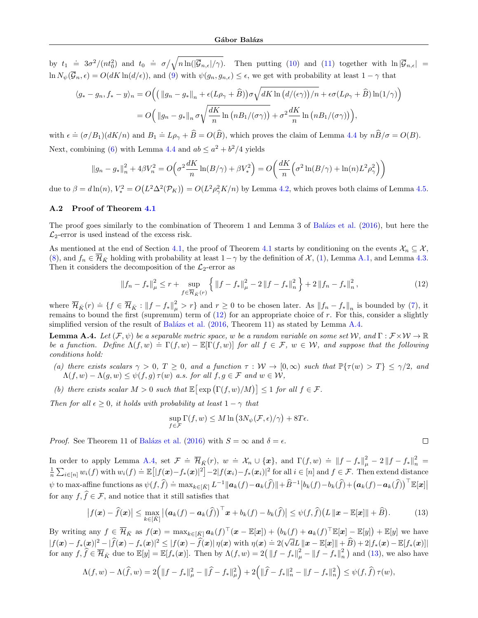by  $t_1 = 3\sigma^2/(nt_0^2)$  and  $t_0 = \sigma/\sqrt{n \ln(|\mathcal{G}_{n,\epsilon}|/\gamma)}$ . Then putting [\(10\)](#page-11-3) and [\(11\)](#page-11-4) together with  $\ln|\mathcal{G}_{n,\epsilon}|$  $\ln N_{\psi}(\overline{\mathcal{G}}_n, \epsilon) = O(dK \ln(d/\epsilon))$ , and [\(9\)](#page-11-2) with  $\psi(g_n, g_{n,\epsilon}) \leq \epsilon$ , we get with probability at least  $1 - \gamma$  that

$$
\langle g_* - g_n, f_* - y \rangle_n = O\Big(\big(\|g_n - g_*\|_n + \epsilon (L\rho_\gamma + \widehat{B})\big)\sigma \sqrt{dK \ln \big(d/(\epsilon \gamma)\big)/n} + \epsilon \sigma (L\rho_\gamma + \widehat{B}) \ln(1/\gamma) \Big)
$$
  
= 
$$
O\Big(\|g_n - g_*\|_n \sigma \sqrt{\frac{dK}{n} \ln \big(nB_1/(\sigma \gamma)\big)} + \sigma^2 \frac{dK}{n} \ln \big(nB_1/(\sigma \gamma)\big)\Big),
$$

with  $\epsilon \doteq (\sigma/B_1)(dK/n)$  and  $B_1 \doteq L\rho_{\gamma} + \widehat{B} = O(\widehat{B})$ , which proves the claim of Lemma [4.4](#page-5-5) by  $n\widehat{B}/\sigma = O(B)$ . Next, combining [\(6\)](#page-5-2) with Lemma [4.4](#page-5-5) and  $ab \leq a^2 + b^2/4$  yields

$$
||g_n - g_*||_n^2 + 4\beta V_n^2 = O\left(\sigma^2 \frac{dK}{n} \ln(B/\gamma) + \beta V_*^2\right) = O\left(\frac{dK}{n} \left(\sigma^2 \ln(B/\gamma) + \ln(n) L^2 \rho_\gamma^2\right)\right)
$$

due to  $\beta = d \ln(n)$ ,  $V_*^2 = O(L^2 \Delta^2(\mathcal{P}_K)) = O(L^2 \rho_{\gamma}^2 K/n)$  by Lemma [4.2,](#page-5-0) which proves both claims of Lemma [4.5.](#page-6-3)

## <span id="page-12-0"></span>A.2 Proof of Theorem [4.1](#page-3-2)

The proof goes similarly to the combination of Theorem 1 and Lemma 3 of Balázs et al. [\(2016\)](#page-8-12), but here the  $\mathcal{L}_2$ -error is used instead of the excess risk.

As mentioned at the end of Section [4.1,](#page-4-0) the proof of Theorem [4.1](#page-3-2) starts by conditioning on the events  $\mathcal{X}_n \subseteq \mathcal{X}$ , [\(8\)](#page-11-0), and  $f_n \in \overline{\mathcal{H}}_{\bar{K}}$  holding with probability at least  $1-\gamma$  by the definition of  $\mathcal{X}$ , [\(1\)](#page-2-2), Lemma [A.1,](#page-10-1) and Lemma [4.3.](#page-5-4) Then it considers the decomposition of the  $\mathcal{L}_2$ -error as

<span id="page-12-1"></span>
$$
||f_{n} - f_{*}||_{\mu}^{2} \le r + \sup_{f \in \overline{\mathcal{H}}_{\bar{K}}(r)} \left\{ ||f - f_{*}||_{\mu}^{2} - 2||f - f_{*}||_{n}^{2} \right\} + 2||f_{n} - f_{*}||_{n}^{2}, \tag{12}
$$

where  $\overline{\mathcal{H}}_{\bar{K}}(r) \doteq \{f \in \overline{\mathcal{H}}_{\bar{K}} : ||f - f_*||_{\mu}^2 > r\}$  and  $r \geq 0$  to be chosen later. As  $||f_n - f_*||_n$  is bounded by [\(7\)](#page-6-4), it remains to bound the first (supremum) term of  $(12)$  for an appropriate choice of r. For this, consider a slightly simplified version of the result of Balázs et al.  $(2016,$  Theorem 11) as stated by Lemma [A.4.](#page-12-2)

<span id="page-12-2"></span>**Lemma A.4.** Let  $(\mathcal{F}, \psi)$  be a separable metric space, w be a random variable on some set W, and  $\Gamma : \mathcal{F} \times \mathcal{W} \to \mathbb{R}$ be a function. Define  $\Lambda(f, w) \doteq \Gamma(f, w) - \mathbb{E}[\Gamma(f, w)]$  for all  $f \in \mathcal{F}$ ,  $w \in \mathcal{W}$ , and suppose that the following conditions hold:

- <span id="page-12-4"></span>(a) there exists scalars  $\gamma > 0$ ,  $T \geq 0$ , and a function  $\tau : W \to [0, \infty)$  such that  $\mathbb{P}\{\tau(w) > T\} \leq \gamma/2$ , and  $\Lambda(f, w) - \Lambda(g, w) \leq \psi(f, g) \tau(w)$  a.s. for all  $f, g \in \mathcal{F}$  and  $w \in \mathcal{W}$ ,
- <span id="page-12-5"></span>(b) there exists scalar  $M > 0$  such that  $\mathbb{E}[\exp(\Gamma(f, w)/M)] \leq 1$  for all  $f \in \mathcal{F}$ .

Then for all  $\epsilon \geq 0$ , it holds with probability at least  $1 - \gamma$  that

$$
\sup_{f \in \mathcal{F}} \Gamma(f, w) \le M \ln (3N_{\psi}(\mathcal{F}, \epsilon)/\gamma) + 8T\epsilon.
$$

*Proof.* See Theorem 11 of Balázs et al. [\(2016\)](#page-8-12) with  $S = \infty$  and  $\delta = \epsilon$ .

In order to apply Lemma [A.4,](#page-12-2) set  $\mathcal{F} \doteq \overline{\mathcal{H}}_{\bar{K}}(r)$ ,  $w \doteq \mathcal{X}_n \cup \{x\}$ , and  $\Gamma(f, w) \doteq ||f - f_*||_{\mu}^2 - 2||f - f_*||_{n}^2$ <br> $\frac{1}{n} \sum_{i \in [n]} w_i(f)$  with  $w_i(f) \doteq \mathbb{E}[|f(\boldsymbol{x}) - f_*(\boldsymbol{x})|^2] - 2|f(\boldsymbol{x}_i) - f_*(\boldsymbol{x}_i)|^2$  f  $\psi$  to max-affine functions as  $\psi(f,\hat{f}) = \max_{k \in [\bar{K}]} L^{-1} ||a_k(f) - a_k(\hat{f})|| + \hat{B}^{-1} |b_k(f) - b_k(\hat{f}) + (a_k(f) - a_k(\hat{f}))^\top \mathbb{E}[x]$ for any  $f, \hat{f} \in \mathcal{F}$ , and notice that it still satisfies that

<span id="page-12-3"></span>
$$
\left|f(\boldsymbol{x}) - \widehat{f}(\boldsymbol{x})\right| \leq \max_{k \in [\bar{K}]} \left| \left(\boldsymbol{a}_k(f) - \boldsymbol{a}_k(\widehat{f})\right)^\top \boldsymbol{x} + b_k(f) - b_k(\widehat{f}) \right| \leq \psi(f, \widehat{f}) \left( L \left\| \boldsymbol{x} - \mathbb{E}[\boldsymbol{x}] \right\| + \widehat{B} \right).
$$
 (13)

By writing any  $f \in \overline{\mathcal{H}}_{\bar{K}}$  as  $f(\boldsymbol{x}) = \max_{k \in [\bar{K}]} \boldsymbol{a}_k(f)^\top(\boldsymbol{x} - \mathbb{E}[\boldsymbol{x}]) + (b_k(f) + \boldsymbol{a}_k(f)^\top \mathbb{E}[\boldsymbol{x}] - \mathbb{E}[y]) + \mathbb{E}[y]$  we have  $|f(x)-f_*(x)|^2-|\widehat{f}(x)-f_*(x)|^2\leq |f(x)-\widehat{f}(x)|\,\eta(x)\,\,\text{with}\,\,\eta(x)=2(\sqrt{d}L\|x-\mathbb{E}[x]\|+\widehat{B})+2|f_*(x)-\mathbb{E}[f_*(x)]|$ for any  $f, \hat{f} \in \overline{\mathcal{H}}_{\bar{K}}$  due to  $\mathbb{E}[y] = \mathbb{E}[f_*(x)]$ . Then by  $\Lambda(f, w) = 2(\|f - f_*\|_{\mu}^2 - \|f - f_*\|_{n}^2)$  and [\(13\)](#page-12-3), we also have

$$
\Lambda(f, w) - \Lambda(\widehat{f}, w) = 2\Big(\|f - f_*\|_{\mu}^2 - \|\widehat{f} - f_*\|_{\mu}^2\Big) + 2\Big(\|\widehat{f} - f_*\|_{n}^2 - \|f - f_*\|_{n}^2\Big) \leq \psi(f, \widehat{f})\,\tau(w),
$$

 $\Box$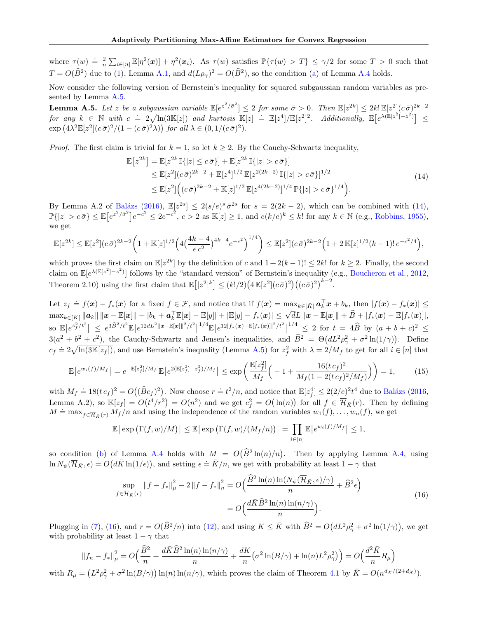where  $\tau(w) \doteq \frac{2}{n} \sum_{i \in [n]} \mathbb{E}[\eta^2(\boldsymbol{x})] + \eta^2(\boldsymbol{x}_i)$ . As  $\tau(w)$  satisfies  $\mathbb{P}\{\tau(w) > T\} \leq \gamma/2$  for some  $T > 0$  such that  $T = O(\widehat{B}^2)$  due to [\(1\)](#page-2-2), Lemma [A.1,](#page-10-1) and  $d(L\rho_\gamma)^2 = O(\widehat{B}^2)$ , so the condition [\(a\)](#page-12-4) of Lemma [A.4](#page-12-2) holds.

Now consider the following version of Bernstein's inequality for squared subgaussian random variables as presented by Lemma [A.5.](#page-13-0)

<span id="page-13-0"></span>**Lemma A.5.** Let z be a subgaussian variable  $\mathbb{E}[e^{z^2/\bar{\sigma}^2}] \leq 2$  for some  $\bar{\sigma} > 0$ . Then  $\mathbb{E}[z^{2k}] \leq 2k! \mathbb{E}[z^2](c\bar{\sigma})^{2k-2}$  $\begin{array}{rcl} \text{for any } k \in \mathbb{N} \text{ with } c \doteq 2\sqrt{\ln(3\mathbb{K}[z])} \text{ and kurtosis } \mathbb{K}[z] \doteq \mathbb{E}[z^4]/\mathbb{E}[z^2]^2. \quad \text{Additionally, } \mathbb{E}[e^{\lambda(\mathbb{E}[z^2]-z^2)}] \leq \end{array}$  $\exp\left(4\lambda^2 \mathbb{E}[z^2](c\bar{\sigma})^2/(1-(c\bar{\sigma})^2\lambda)\right)$  for all  $\lambda \in (0,1/(c\bar{\sigma})^2)$ .

<span id="page-13-1"></span>*Proof.* The first claim is trivial for  $k = 1$ , so let  $k \geq 2$ . By the Cauchy-Schwartz inequality,

$$
\mathbb{E}\left[z^{2k}\right] = \mathbb{E}\left[z^{2k}\,\mathbb{I}\{|z| \le c\,\bar{\sigma}\}\right] + \mathbb{E}\left[z^{2k}\,\mathbb{I}\{|z| > c\,\bar{\sigma}\}\right] \n\le \mathbb{E}\left[z^{2}\right] (c\,\bar{\sigma})^{2k-2} + \mathbb{E}\left[z^{4}\right]^{1/2} \mathbb{E}\left[z^{2(2k-2)}\,\mathbb{I}\{|z| > c\,\bar{\sigma}\}\right]^{1/2} \n\le \mathbb{E}\left[z^{2}\right] \left((c\,\bar{\sigma})^{2k-2} + \mathbb{K}\left[z\right]^{1/2} \mathbb{E}\left[z^{4(2k-2)}\right]^{1/4} \mathbb{P}\{|z| > c\,\bar{\sigma}\}^{1/4}\right).
$$
\n(14)

By Lemma A.2 of Balázs [\(2016\)](#page-8-5),  $\mathbb{E}[z^{2s}] \leq 2(s/e)^s \bar{\sigma}^{2s}$  for  $s = 2(2k-2)$ , which can be combined with [\(14\)](#page-13-1),  $\mathbb{P}\{|z| > c\bar{\sigma}\}\leq \mathbb{E}[e^{z^2/\bar{\sigma}^2}]e^{-c^2} \leq 2e^{-c^2}, c > 2$  as  $\mathbb{K}[z] \geq 1$ , and  $e(k/e)^k \leq k!$  for any  $k \in \mathbb{N}$  (e.g., [Robbins,](#page-9-21) [1955\)](#page-9-21), we get

$$
\mathbb{E}[z^{2k}] \le \mathbb{E}[z^2](c\bar{\sigma})^{2k-2}\left(1+\mathbb{K}[z]^{1/2}\left(4\left(\frac{4k-4}{e\,c^2}\right)^{4k-4}e^{-c^2}\right)^{1/4}\right) \le \mathbb{E}[z^2](c\bar{\sigma})^{2k-2}\left(1+2\,\mathbb{K}[z]^{1/2}(k-1)!\,e^{-c^2/4}\right),
$$

which proves the first claim on  $\mathbb{E}[z^{2k}]$  by the definition of c and  $1+2(k-1)! \leq 2k!$  for  $k \geq 2$ . Finally, the second claim on  $\mathbb{E}[e^{\lambda(\mathbb{E}[z^2]-z^2)}]$  follows by the "standard version" of Bernstein's inequality (e.g., [Boucheron et al.,](#page-8-15) [2012,](#page-8-15) Theorem 2.10) using the first claim that  $\mathbb{E}[|z^2|^k] \leq (k!/2)(4\mathbb{E}[z^2](c\bar{\sigma})^2)((c\bar{\sigma})^2)^{k-2}$ .  $\Box$ 

Let  $z_f \doteq f(\boldsymbol{x}) - f_*(\boldsymbol{x})$  for a fixed  $f \in \mathcal{F}$ , and notice that if  $f(\boldsymbol{x}) = \max_{k \in [\bar{K}]} \boldsymbol{a}_k^{\top} \boldsymbol{x} + b_k$ , then  $|f(\boldsymbol{x}) - f_*(\boldsymbol{x})| \leq$  $\max_{k \in [\bar{K}]} ||a_k|| ||x - \mathbb{E}[x]|| + |b_k + a_k^{\top} \mathbb{E}[x] - \mathbb{E}[y]] + |\mathbb{E}[y] - f_*(x)| \leq \sqrt{d}L ||x - \mathbb{E}[x]|| + \hat{B} + |f_*(x) - \mathbb{E}[f_*(x)]|,$ so E - e z 2 <sup>f</sup> /t<sup>2</sup> ≤ e <sup>3</sup>Bb2/t<sup>2</sup> E - e 12dL2kx−E[x]k <sup>2</sup>/t<sup>2</sup> 1/<sup>4</sup> E - e 12|f∗(x)−E[f∗(x)]| <sup>2</sup>/t<sup>2</sup> 1/<sup>4</sup> <sup>≤</sup> 2 for <sup>t</sup> = 4B<sup>b</sup> by (<sup>a</sup> <sup>+</sup> <sup>b</sup> <sup>+</sup> <sup>c</sup>) <sup>2</sup> ≤  $3(a^2 + b^2 + c^2)$ , the Cauchy-Schwartz and Jensen's inequalities, and  $\hat{B}^2 = \Theta(dL^2\rho_{\gamma}^2 + \sigma^2 \ln(1/\gamma))$ . Define  $c_f = 2\sqrt{\ln(3K[z_f])}$ , and use Bernstein's inequality (Lemma [A.5\)](#page-13-0) for  $z_f^2$  with  $\lambda = 2/M_f$  to get for all  $i \in [n]$  that

$$
\mathbb{E}\left[e^{w_i(f)/M_f}\right] = e^{-\mathbb{E}\left[z_f^2\right]/M_f} \mathbb{E}\left[e^{2(\mathbb{E}\left[z_f^2\right] - z_f^2)/M_f}\right] \le \exp\left(\frac{\mathbb{E}\left[z_f^2\right]}{M_f} \left(-1 + \frac{16(t \, c_f)^2}{M_f(1 - 2(t \, c_f)^2/M_f)}\right)\right) = 1,\tag{15}
$$

with  $M_f \doteq 18(t c_f)^2 = O((\widehat{B}c_f)^2)$ . Now choose  $r = t^2/n$ , and notice that  $\mathbb{E}[z_f^4] \leq 2(2/e)^2 t^4$  due to Balázs [\(2016,](#page-8-5) Lemma A.2), so  $\mathbb{K}[z_f] = O(t^4/r^2) = O(n^2)$  and we get  $c_f^2 = O(\ln(n))$  for all  $f \in \overline{\mathcal{H}}_{\bar{K}}(r)$ . Then by defining  $M = \max_{f \in \overline{\mathcal{H}}_K(r)} M_f/n$  and using the independence of the random variables  $w_1(f), \ldots, w_n(f)$ , we get

$$
\mathbb{E}\big[\exp\big(\Gamma(f,w)/M\big)\big] \leq \mathbb{E}\big[\exp\big(\Gamma(f,w)/(M_f/n)\big)\big] = \prod_{i\in[n]}\mathbb{E}\big[e^{w_i(f)/M_f}\big] \leq 1,
$$

so condition [\(b\)](#page-12-5) of Lemma [A.4](#page-12-2) holds with  $M = O(B^2 \ln(n)/n)$ . Then by applying Lemma [A.4,](#page-12-2) using  $\ln N_{\psi}(\overline{\mathcal{H}}_{\bar{K}}, \epsilon) = O(d\bar{K} \ln(1/\epsilon)),$  and setting  $\epsilon = \bar{K}/n$ , we get with probability at least  $1 - \gamma$  that

$$
\sup_{f \in \overline{\mathcal{H}}_{\tilde{K}}(r)} \|f - f_*\|_{\mu}^2 - 2\|f - f_*\|_{n}^2 = O\left(\frac{\tilde{B}^2 \ln(n) \ln(N_{\psi}(\overline{\mathcal{H}}_{\bar{K}}, \epsilon)/\gamma)}{n} + \tilde{B}^2 \epsilon\right)
$$
  
= 
$$
O\left(\frac{d\tilde{K}\tilde{B}^2 \ln(n) \ln(n/\gamma)}{n}\right).
$$
 (16)

<span id="page-13-2"></span>Plugging in [\(7\)](#page-6-4), [\(16\)](#page-13-2), and  $r = O(\widehat{B}^2/n)$  into [\(12\)](#page-12-1), and using  $K \leq \overline{K}$  with  $\widehat{B}^2 = O(dL^2\rho^2 + \sigma^2 \ln(1/\gamma))$ , we get with probability at least  $1 - \gamma$  that

$$
||f_n - f_*||_{\mu}^2 = O\left(\frac{\widehat{B}^2}{n} + \frac{d\bar{K}\widehat{B}^2\ln(n)\ln(n/\gamma)}{n} + \frac{dK}{n}\left(\sigma^2\ln(B/\gamma) + \ln(n)L^2\rho_\gamma^2\right)\right) = O\left(\frac{d^2\bar{K}}{n}R_{\mu}\right)
$$

with  $R_{\mu} = (L^2 \rho_{\gamma}^2 + \sigma^2 \ln(B/\gamma)) \ln(n) \ln(n/\gamma)$ , which proves the claim of Theorem [4.1](#page-3-2) by  $\bar{K} = O(n^{d_{\mathcal{X}}/(2+d_{\mathcal{X}})})$ .